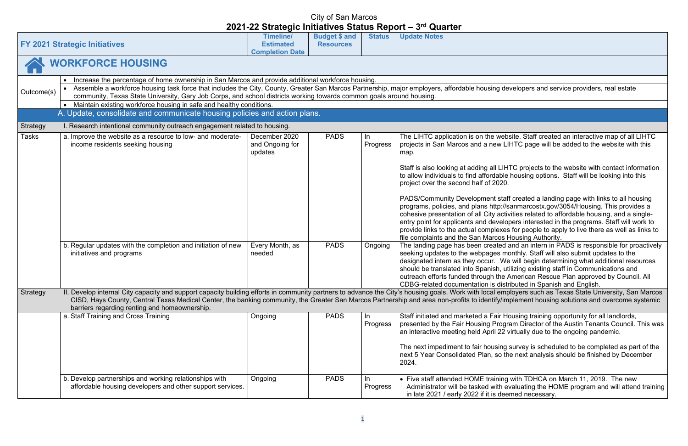developers and service providers, real estate

ebsite. Staff created an interactive map of all LIHTC LIHTC page will be added to the website with this

HTC projects to the website with contact information Ie housing options. Staff will be looking into this

aff created a landing page with links to all housing //sanmarcostx.gov/3054/Housing. This provides a tivities related to affordable housing, and a singlelopers interested in the programs. Staff will work to es for people to apply to live there as well as links to **Housing Authority.** 

d and an intern in PADS is responsible for proactively monthly. Staff will also submit updates to the Ve will begin determining what additional resources utilizing existing staff in Communications and **American Rescue Plan approved by Council. All** stributed in Spanish and English.

nployers such as Texas State University, San Marcos mplement housing solutions and overcome systemic

Housing training opportunity for all landlords, gram Director of the Austin Tenants Council. This was virtually due to the ongoing pandemic.

g survey is scheduled to be completed as part of the the next analysis should be finished by December

g with TDHCA on March 11, 2019. The new evaluating the HOME program and will attend training emed necessary.

|                 | <b>FY 2021 Strategic Initiatives</b>                                                                                                                                                                                                                                                                                                                                                                                                                            | <b>Timeline/</b><br><b>Estimated</b><br><b>Completion Date</b>           | <b>Budget \$ and</b><br><b>Resources</b> | <b>Status</b>              | <b>Update Notes</b>                                                                                                                                                                                                                                                                                                                                                                                                                                                                                                                                                                                                                                                            |
|-----------------|-----------------------------------------------------------------------------------------------------------------------------------------------------------------------------------------------------------------------------------------------------------------------------------------------------------------------------------------------------------------------------------------------------------------------------------------------------------------|--------------------------------------------------------------------------|------------------------------------------|----------------------------|--------------------------------------------------------------------------------------------------------------------------------------------------------------------------------------------------------------------------------------------------------------------------------------------------------------------------------------------------------------------------------------------------------------------------------------------------------------------------------------------------------------------------------------------------------------------------------------------------------------------------------------------------------------------------------|
|                 | <b>WORKFORCE HOUSING</b>                                                                                                                                                                                                                                                                                                                                                                                                                                        |                                                                          |                                          |                            |                                                                                                                                                                                                                                                                                                                                                                                                                                                                                                                                                                                                                                                                                |
| Outcome(s)      | Increase the percentage of home ownership in San Marcos and provide additional workforce housing.<br>$\bullet$<br>Assemble a workforce housing task force that includes the City, County, Greater San Marcos Partnership, major employers, affordable housing de<br>community, Texas State University, Gary Job Corps, and school districts working towards common goals around housing.<br>Maintain existing workforce housing in safe and healthy conditions. |                                                                          |                                          |                            |                                                                                                                                                                                                                                                                                                                                                                                                                                                                                                                                                                                                                                                                                |
|                 | A. Update, consolidate and communicate housing policies and action plans.                                                                                                                                                                                                                                                                                                                                                                                       |                                                                          |                                          |                            |                                                                                                                                                                                                                                                                                                                                                                                                                                                                                                                                                                                                                                                                                |
| <b>Strategy</b> | I. Research intentional community outreach engagement related to housing.                                                                                                                                                                                                                                                                                                                                                                                       |                                                                          |                                          |                            |                                                                                                                                                                                                                                                                                                                                                                                                                                                                                                                                                                                                                                                                                |
| Tasks           | a. Improve the website as a resource to low- and moderate-<br>income residents seeking housing<br>b. Regular updates with the completion and initiation of new<br>initiatives and programs                                                                                                                                                                                                                                                                      | December 2020<br>and Ongoing for<br>updates<br>Every Month, as<br>needed | <b>PADS</b><br><b>PADS</b>               | In.<br>Progress<br>Ongoing | The LIHTC application is on the web<br>projects in San Marcos and a new LI<br>map.<br>Staff is also looking at adding all LIH<br>to allow individuals to find affordable<br>project over the second half of 2020.<br><b>PADS/Community Development staf</b><br>programs, policies, and plans http://s<br>cohesive presentation of all City activ<br>entry point for applicants and develo<br>provide links to the actual complexes<br>file complaints and the San Marcos I<br>The landing page has been created<br>seeking updates to the webpages me<br>designated intern as they occur. We<br>should be translated into Spanish, ut<br>outreach efforts funded through the / |
| <b>Strategy</b> | II. Develop internal City capacity and support capacity building efforts in community partners to advance the City's housing goals. Work with local emp<br>CISD, Hays County, Central Texas Medical Center, the banking community, the Greater San Marcos Partnership and area non-profits to identify/im<br>barriers regarding renting and homeownership.                                                                                                      |                                                                          |                                          |                            | CDBG-related documentation is disti                                                                                                                                                                                                                                                                                                                                                                                                                                                                                                                                                                                                                                            |
|                 | a. Staff Training and Cross Training                                                                                                                                                                                                                                                                                                                                                                                                                            | Ongoing                                                                  | <b>PADS</b>                              | In.<br>Progress            | Staff initiated and marketed a Fair He<br>presented by the Fair Housing Progr<br>an interactive meeting held April 22 v<br>The next impediment to fair housing<br>next 5 Year Consolidated Plan, so th<br>2024.                                                                                                                                                                                                                                                                                                                                                                                                                                                                |
|                 | b. Develop partnerships and working relationships with<br>affordable housing developers and other support services.                                                                                                                                                                                                                                                                                                                                             | Ongoing                                                                  | <b>PADS</b>                              | In.<br>Progress            | • Five staff attended HOME training<br>Administrator will be tasked with e<br>in late 2021 / early 2022 if it is dee                                                                                                                                                                                                                                                                                                                                                                                                                                                                                                                                                           |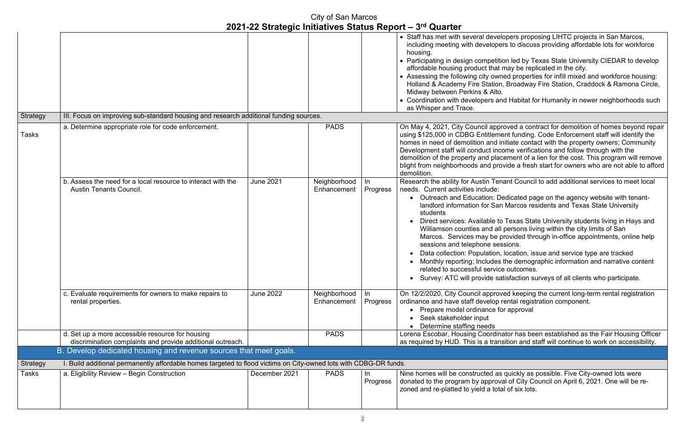pers proposing LIHTC projects in San Marcos, including affordable lots for workforce

on led by Texas State University CIEDAR to develop nay be replicated in the city.

ed properties for infill mixed and workforce housing: Broadway Fire Station, Craddock & Ramona Circle,

I Habitat for Humanity in newer neighborhoods such

oved a contract for demolition of homes beyond repair Int funding. Code Enforcement staff will identify the itiate contact with the property owners; Community ome verifications and follow through with the ement of a lien for the cost. This program will remove vide a fresh start for owners who are not able to afford

ant Council to add additional services to meet local

edicated page on the agency website with tenant-Marcos residents and Texas State University

Texas State University students living in Hays and persons living within the city limits of San rovided through in-office appointments, online help sions.

location, issue and service type are tracked the demographic information and narrative content outcomes.

isfaction surveys of all clients who participate.

ed keeping the current long-term rental registration ental registration component. approval

Itor has been established as the Fair Housing Officer ition and staff will continue to work on accessibility.

quickly as possible. Five City-owned lots were of City Council on April 6, 2021. One will be reof six lots.

|                 |                                                                                                                                 | 2021 22 Oualogio miliatrico Olatao Iloport |                             |                 | <b>V</b> GULLUI                                                                                                                                                                                                                                                                                                                                                                                                             |
|-----------------|---------------------------------------------------------------------------------------------------------------------------------|--------------------------------------------|-----------------------------|-----------------|-----------------------------------------------------------------------------------------------------------------------------------------------------------------------------------------------------------------------------------------------------------------------------------------------------------------------------------------------------------------------------------------------------------------------------|
|                 |                                                                                                                                 |                                            |                             |                 | • Staff has met with several develo<br>including meeting with developer.<br>housing.<br>• Participating in design competitio<br>affordable housing product that m<br>• Assessing the following city owne<br>Holland & Academy Fire Station,<br>Midway between Perkins & Alto.<br>• Coordination with developers and<br>as Whisper and Trace.                                                                                |
| Strategy        | III. Focus on improving sub-standard housing and research additional funding sources.                                           |                                            |                             |                 |                                                                                                                                                                                                                                                                                                                                                                                                                             |
| <b>Tasks</b>    | a. Determine appropriate role for code enforcement.                                                                             |                                            | <b>PADS</b>                 |                 | On May 4, 2021, City Council appro<br>using \$125,000 in CDBG Entitlemer<br>homes in need of demolition and ini<br>Development staff will conduct inco<br>demolition of the property and place<br>blight from neighborhoods and prov<br>demolition.                                                                                                                                                                         |
|                 | b. Assess the need for a local resource to interact with the<br><b>Austin Tenants Council.</b>                                  | <b>June 2021</b>                           | Neighborhood<br>Enhancement | In<br>Progress  | Research the ability for Austin Tena<br>needs. Current activities include:<br>• Outreach and Education: De<br>landlord information for San<br>students<br>Direct services: Available to<br>Williamson counties and all p<br>Marcos. Services may be pr<br>sessions and telephone sess<br>Data collection: Population, I<br>Monthly reporting: Includes th<br>related to successful service<br>Survey: ATC will provide sati |
|                 | c. Evaluate requirements for owners to make repairs to<br>rental properties.                                                    | <b>June 2022</b>                           | Neighborhood<br>Enhancement | In.<br>Progress | On 12/2/2020, City Council approve<br>ordinance and have staff develop re<br>Prepare model ordinance for<br>Seek stakeholder input<br>Determine staffing needs                                                                                                                                                                                                                                                              |
|                 | d. Set up a more accessible resource for housing                                                                                |                                            | <b>PADS</b>                 |                 | Lorena Escobar, Housing Coordina                                                                                                                                                                                                                                                                                                                                                                                            |
|                 | discrimination complaints and provide additional outreach.<br>B. Develop dedicated housing and revenue sources that meet goals. |                                            |                             |                 | as required by HUD. This is a transi                                                                                                                                                                                                                                                                                                                                                                                        |
|                 |                                                                                                                                 |                                            |                             |                 |                                                                                                                                                                                                                                                                                                                                                                                                                             |
| <b>Strategy</b> | I. Build additional permanently affordable homes targeted to flood victims on City-owned lots with CDBG-DR funds.               |                                            |                             |                 |                                                                                                                                                                                                                                                                                                                                                                                                                             |
| Tasks           | a. Eligibility Review - Begin Construction                                                                                      | December 2021                              | <b>PADS</b>                 | In<br>Progress  | Nine homes will be constructed as<br>donated to the program by approva<br>zoned and re-platted to yield a total                                                                                                                                                                                                                                                                                                             |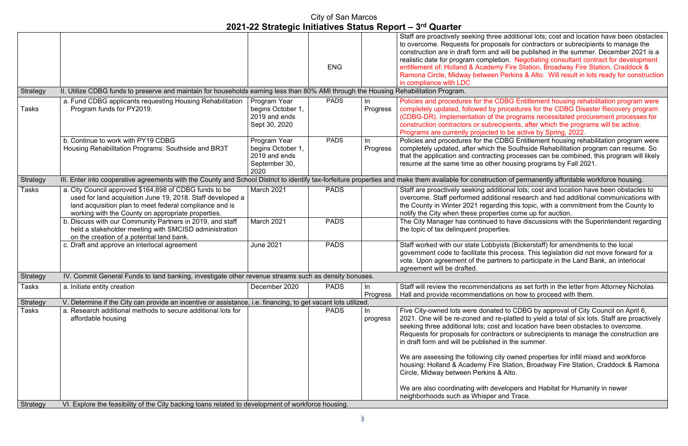additional lots; cost and location have been obstacles als for contractors or subrecipients to manage the will be published in the summer. December 2021 is a on. Negotiating consultant contract for development Fire Station, Broadway Fire Station, Craddock & erkins & Alto. Will result in lots ready for construction

**BG Entitlement housing rehabilitation program were** ocedures for the CDBG Disaster Recovery program programs necessitated procurement processes for pients, after which the programs will be active.  $\overline{\text{o}}$  be active by Spring, 2022.

**PBG Entitlement housing rehabilitation program were** e Southside Rehabilitation program can resume. So processes can be combined, this program will likely rousing programs by Fall 2021.

n of permanently affordable workforce housing.

onal lots: cost and location have been obstacles to nal research and had additional communications with  $\log$  this topic, with a commitment from the County to es come up for auction.

have discussions with the Superintendent regarding

sts (Bickerstaff) for amendments to the local process. This legislation did not move forward for a ers to participate in the Land Bank, an interlocal

ons as set forth in the letter from Attorney Nicholas on how to proceed with them.

to CDBG by approval of City Council on April 6, platted to yield a total of six lots. Staff are proactively and location have been obstacles to overcome. tors or subrecipients to manage the construction are in the summer.

owned properties for infill mixed and workforce Station, Broadway Fire Station, Craddock & Ramona

lopers and Habitat for Humanity in newer nd Trace.

|                 |                                                                                                                                                                                                                                       |                                                                             |             |                | $\mathcal{L}$ us i - $\mathcal{L}$ s Unidente minimus Unidente i Indianus Indianus Indianus Indianus Indianus Indianus Indianus Indianus Indianus Indianus Indianus Indianus Indianus Indianus Indianus Indianus Indianus Indianus Indianu                                               |
|-----------------|---------------------------------------------------------------------------------------------------------------------------------------------------------------------------------------------------------------------------------------|-----------------------------------------------------------------------------|-------------|----------------|------------------------------------------------------------------------------------------------------------------------------------------------------------------------------------------------------------------------------------------------------------------------------------------|
|                 |                                                                                                                                                                                                                                       |                                                                             | <b>ENG</b>  |                | Staff are proactively seeking three addi<br>to overcome. Requests for proposals fo<br>construction are in draft form and will be<br>realistic date for program completion. N<br>entitlement of: Holland & Academy Fire<br>Ramona Circle, Midway between Perkir<br>in compliance with LDC |
| Strategy        | II. Utilize CDBG funds to preserve and maintain for households earning less than 80% AMI through the Housing Rehabilitation Program.                                                                                                  |                                                                             |             |                |                                                                                                                                                                                                                                                                                          |
| Tasks           | a. Fund CDBG applicants requesting Housing Rehabilitation<br>Program funds for PY2019.                                                                                                                                                | Program Year<br>begins October 1,<br>2019 and ends<br>Sept 30, 2020         | <b>PADS</b> | In<br>Progress | Policies and procedures for the CDBG I<br>completely updated, followed by proced<br>(CDBG-DR). Implementation of the prog<br>construction contractors or subrecipient<br>Programs are currently projected to be                                                                          |
|                 | b. Continue to work with PY19 CDBG<br>Housing Rehabilitation Programs: Southside and BR3T                                                                                                                                             | Program Year<br>begins October 1,<br>2019 and ends<br>September 30,<br>2020 | <b>PADS</b> | In<br>Progress | Policies and procedures for the CDBG I<br>completely updated, after which the Sor<br>that the application and contracting pro-<br>resume at the same time as other hous                                                                                                                  |
| Strategy        | III. Enter into cooperative agreements with the County and School District to identify tax-forfeiture properties and make them available for construction of                                                                          |                                                                             |             |                |                                                                                                                                                                                                                                                                                          |
| Tasks           | a. City Council approved \$164,898 of CDBG funds to be<br>used for land acquisition June 19, 2018. Staff developed a<br>land acquisition plan to meet federal compliance and is<br>working with the County on appropriate properties. | March 2021                                                                  | <b>PADS</b> |                | Staff are proactively seeking additional<br>overcome. Staff performed additional re<br>the County in Winter 2021 regarding thi<br>notify the City when these properties co                                                                                                               |
|                 | b. Discuss with our Community Partners in 2019, and staff<br>held a stakeholder meeting with SMCISD administration<br>on the creation of a potential land bank.                                                                       | March 2021                                                                  | <b>PADS</b> |                | The City Manager has continued to hav<br>the topic of tax delinguent properties.                                                                                                                                                                                                         |
|                 | c. Draft and approve an interlocal agreement                                                                                                                                                                                          | <b>June 2021</b>                                                            | <b>PADS</b> |                | Staff worked with our state Lobbyists (E<br>government code to facilitate this proce<br>vote. Upon agreement of the partners to<br>agreement will be drafted.                                                                                                                            |
| <b>Strategy</b> | IV. Commit General Funds to land banking, investigate other revenue streams such as density bonuses.                                                                                                                                  |                                                                             |             |                |                                                                                                                                                                                                                                                                                          |
| Tasks           | a. Initiate entity creation                                                                                                                                                                                                           | December 2020                                                               | <b>PADS</b> | In<br>Progress | Staff will review the recommendations a<br>Hall and provide recommendations on <b>h</b>                                                                                                                                                                                                  |
| Strategy        | V. Determine if the City can provide an incentive or assistance, i.e. financing, to get vacant lots utilized.                                                                                                                         |                                                                             |             |                |                                                                                                                                                                                                                                                                                          |
| Tasks           | a. Research additional methods to secure additional lots for<br>affordable housing                                                                                                                                                    |                                                                             | <b>PADS</b> | In<br>progress | Five City-owned lots were donated to C<br>2021. One will be re-zoned and re-platt<br>seeking three additional lots; cost and le<br>Requests for proposals for contractors<br>in draft form and will be published in the                                                                  |
|                 |                                                                                                                                                                                                                                       |                                                                             |             |                | We are assessing the following city own<br>housing: Holland & Academy Fire Station<br>Circle, Midway between Perkins & Alto.                                                                                                                                                             |
|                 |                                                                                                                                                                                                                                       |                                                                             |             |                | We are also coordinating with develope<br>neighborhoods such as Whisper and Tr                                                                                                                                                                                                           |
| Strategy        | VI. Explore the feasibility of the City backing loans related to development of workforce housing.                                                                                                                                    |                                                                             |             |                |                                                                                                                                                                                                                                                                                          |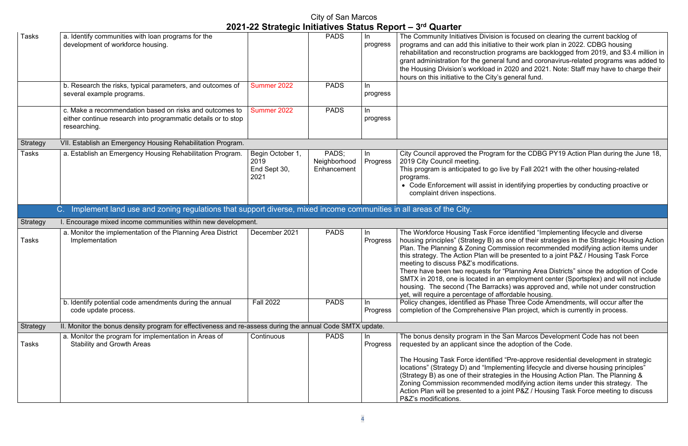is focused on clearing the current backlog of to their work plan in 2022. CDBG housing ograms are backlogged from 2019, and  $$3.4$  million in I fund and coronavirus-related programs was added to 2020 and 2021. Note: Staff may have to charge their general fund.

for the CDBG PY19 Action Plan during the June 18,

ve by Fall 2021 with the other housing-related

identifying properties by conducting proactive or

identified "Implementing lifecycle and diverse one of their strategies in the Strategic Housing Action nission recommended modifying action items under e presented to a joint P&Z / Housing Task Force ions.

"Planning Area Districts" since the adoption of Code  $\alpha$  employment center (Sportsplex) and will not include  $\epsilon$ s) was approved and, while not under construction ordable housing.

Three Code Amendments, will occur after the Plan project, which is currently in process.

San Marcos Development Code has not been adoption of the Code.

"Pre-approve residential development in strategic nenting lifecycle and diverse housing principles" ies in the Housing Action Plan. The Planning & I modifying action items under this strategy. The  $\frac{1}{2}$ point P&Z / Housing Task Force meeting to discuss

|                 |                                                                                                                                          |                                                  | City of San Marcos                   |                       | 2021-22 Strategic Initiatives Status Report – 3rd Quarter                                                                                                                                                                                                                                                                                              |
|-----------------|------------------------------------------------------------------------------------------------------------------------------------------|--------------------------------------------------|--------------------------------------|-----------------------|--------------------------------------------------------------------------------------------------------------------------------------------------------------------------------------------------------------------------------------------------------------------------------------------------------------------------------------------------------|
| <b>Tasks</b>    | a. Identify communities with loan programs for the<br>development of workforce housing.                                                  |                                                  | <b>PADS</b>                          | progress              | The Community Initiatives Division i<br>programs and can add this initiative<br>rehabilitation and reconstruction pro<br>grant administration for the general<br>the Housing Division's workload in 2<br>hours on this initiative to the City's o                                                                                                      |
|                 | b. Research the risks, typical parameters, and outcomes of<br>several example programs.                                                  | Summer 2022                                      | <b>PADS</b>                          | <u>In</u><br>progress |                                                                                                                                                                                                                                                                                                                                                        |
|                 | c. Make a recommendation based on risks and outcomes to<br>either continue research into programmatic details or to stop<br>researching. | Summer 2022                                      | <b>PADS</b>                          | ln<br>progress        |                                                                                                                                                                                                                                                                                                                                                        |
| <b>Strategy</b> | VII. Establish an Emergency Housing Rehabilitation Program.                                                                              |                                                  |                                      |                       |                                                                                                                                                                                                                                                                                                                                                        |
| <b>Tasks</b>    | a. Establish an Emergency Housing Rehabilitation Program.                                                                                | Begin October 1,<br>2019<br>End Sept 30,<br>2021 | PADS;<br>Neighborhood<br>Enhancement | In<br>Progress        | City Council approved the Program<br>2019 City Council meeting.<br>This program is anticipated to go liv<br>programs.<br>• Code Enforcement will assist in<br>complaint driven inspections.                                                                                                                                                            |
|                 | Implement land use and zoning regulations that support diverse, mixed income communities in all areas of the City.<br>$C_{\cdot}$        |                                                  |                                      |                       |                                                                                                                                                                                                                                                                                                                                                        |
| Strategy        | I. Encourage mixed income communities within new development.                                                                            |                                                  |                                      |                       |                                                                                                                                                                                                                                                                                                                                                        |
| Tasks           | a. Monitor the implementation of the Planning Area District<br>Implementation                                                            | December 2021                                    | <b>PADS</b>                          | In<br>Progress        | The Workforce Housing Task Force<br>housing principles" (Strategy B) as<br>Plan. The Planning & Zoning Comm<br>this strategy. The Action Plan will be<br>meeting to discuss P&Z's modificati<br>There have been two requests for "<br>SMTX in 2018, one is located in an<br>housing. The second (The Barrack<br>yet, will require a percentage of affo |
|                 | b. Identify potential code amendments during the annual                                                                                  | <b>Fall 2022</b>                                 | <b>PADS</b>                          | -In                   | Policy changes, identified as Phase                                                                                                                                                                                                                                                                                                                    |
|                 | code update process.                                                                                                                     |                                                  |                                      | Progress              | completion of the Comprehensive F                                                                                                                                                                                                                                                                                                                      |
| Strategy        | II. Monitor the bonus density program for effectiveness and re-assess during the annual Code SMTX update.                                |                                                  |                                      |                       |                                                                                                                                                                                                                                                                                                                                                        |
| Tasks           | a. Monitor the program for implementation in Areas of<br><b>Stability and Growth Areas</b>                                               | Continuous                                       | <b>PADS</b>                          | In<br>Progress        | The bonus density program in the S<br>requested by an applicant since the<br>The Housing Task Force identified '<br>locations" (Strategy D) and "Implem<br>(Strategy B) as one of their strategion<br>Zoning Commission recommended<br>Action Plan will be presented to a jo<br>P&Z's modifications.                                                   |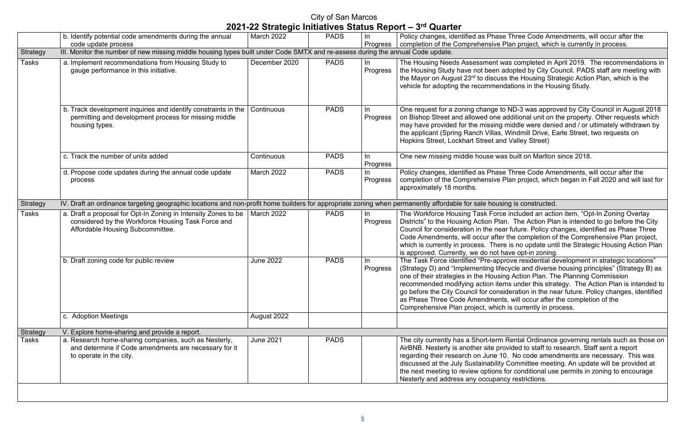# City of San Marcos

|  |  |  | 2021-22 Strategic Initiatives Status Report - 3rd Quarter |
|--|--|--|-----------------------------------------------------------|
|  |  |  |                                                           |

Three Code Amendments, will occur after the lan project, which is currently in process.

ras completed in April 2019. The recommendations in dopted by City Council. PADS staff are meeting with s the Housing Strategic Action Plan, which is the lations in the Housing Study.

ND-3 was approved by City Council in August 2018 dditional unit on the property. Other requests which middle were denied and / or ultimately withdrawn by Windmill Drive, Earle Street, two requests on **Valley Street)** 

s built on Marlton since 2018.

Three Code Amendments, will occur after the lan project, which began in Fall 2020 and will last for

Included an action item, "Opt-In Zoning Overlay n. The Action Plan is intended to go before the City I future. Policy changes, identified as Phase Three the completion of the Comprehensive Plan project, is no update until the Strategic Housing Action Plan ave opt-in zoning.

The Task Force idential development in strategic locations"  $\,$  cycle and diverse housing principles" (Strategy B) as ng Action Plan. The Planning Commission ns under this strategy. The Action Plan is intended to ideration in the near future. Policy changes, identified

s, will occur after the completion of the

is currently in process.

Rental Ordinance governing rentals such as those on wided to staff to research. Staff sent a report ). No code amendments are necessary. This was Committee meeting. An update will be provided at for conditional use permits in zoning to encourage cy restrictions.

|                 | b. Identify potential code amendments during the annual<br>code update process                                                                                         | March 2022       | <b>PADS</b> | In<br>Progress  | Policy changes, identified as Phase Three Code Ame<br>completion of the Comprehensive Plan project, which                                                                                                                                                                                                                                                                                            |
|-----------------|------------------------------------------------------------------------------------------------------------------------------------------------------------------------|------------------|-------------|-----------------|------------------------------------------------------------------------------------------------------------------------------------------------------------------------------------------------------------------------------------------------------------------------------------------------------------------------------------------------------------------------------------------------------|
| Strategy        | III. Monitor the number of new missing middle housing types built under Code SMTX and re-assess during the annual Code update.                                         |                  |             |                 |                                                                                                                                                                                                                                                                                                                                                                                                      |
| Tasks           | a. Implement recommendations from Housing Study to<br>gauge performance in this initiative.                                                                            | December 2020    | <b>PADS</b> | In.<br>Progress | The Housing Needs Assessment was completed in A<br>the Housing Study have not been adopted by City Co<br>the Mayor on August 23rd to discuss the Housing Stra<br>vehicle for adopting the recommendations in the Hou                                                                                                                                                                                 |
|                 | b. Track development inquiries and identify constraints in the $ $<br>permitting and development process for missing middle<br>housing types.                          | Continuous       | <b>PADS</b> | In.<br>Progress | One request for a zoning change to ND-3 was appro<br>on Bishop Street and allowed one additional unit on t<br>may have provided for the missing middle were denie<br>the applicant (Spring Ranch Villas, Windmill Drive, E<br>Hopkins Street, Lockhart Street and Valley Street)                                                                                                                     |
|                 | c. Track the number of units added                                                                                                                                     | Continuous       | <b>PADS</b> | In<br>Progress  | One new missing middle house was built on Marlton                                                                                                                                                                                                                                                                                                                                                    |
|                 | d. Propose code updates during the annual code update<br>process                                                                                                       | March 2022       | <b>PADS</b> | In<br>Progress  | Policy changes, identified as Phase Three Code Ame<br>completion of the Comprehensive Plan project, which<br>approximately 18 months.                                                                                                                                                                                                                                                                |
| <b>Strategy</b> | IV. Draft an ordinance targeting geographic locations and non-profit home builders for appropriate zoning when permanently affordable for sale housing is constructed. |                  |             |                 |                                                                                                                                                                                                                                                                                                                                                                                                      |
| <b>Tasks</b>    | a. Draft a proposal for Opt-In Zoning in Intensity Zones to be<br>considered by the Workforce Housing Task Force and<br>Affordable Housing Subcommittee.               | March 2022       | <b>PADS</b> | In<br>Progress  | The Workforce Housing Task Force included an action<br>Districts" to the Housing Action Plan. The Action Pla<br>Council for consideration in the near future. Policy ch<br>Code Amendments, will occur after the completion of<br>which is currently in process. There is no update unt<br>is approved. Currently, we do not have opt-in zoning                                                      |
|                 | b. Draft zoning code for public review                                                                                                                                 | <b>June 2022</b> | <b>PADS</b> | In<br>Progress  | The Task Force identified "Pre-approve residential de<br>(Strategy D) and "Implementing lifecycle and diverse<br>one of their strategies in the Housing Action Plan. Th<br>recommended modifying action items under this stra<br>go before the City Council for consideration in the ne<br>as Phase Three Code Amendments, will occur after<br>Comprehensive Plan project, which is currently in pro |
|                 | c. Adoption Meetings                                                                                                                                                   | August 2022      |             |                 |                                                                                                                                                                                                                                                                                                                                                                                                      |
| <b>Strategy</b> | V. Explore home-sharing and provide a report.                                                                                                                          |                  |             |                 |                                                                                                                                                                                                                                                                                                                                                                                                      |
| Tasks           | a. Research home-sharing companies, such as Nesterly,<br>and determine if Code amendments are necessary for it<br>to operate in the city.                              | <b>June 2021</b> | <b>PADS</b> |                 | The city currently has a Short-term Rental Ordinance<br>AirBNB. Nesterly is another site provided to staff to re<br>regarding their research on June 10. No code amen<br>discussed at the July Sustainability Committee meeti<br>the next meeting to review options for conditional use<br>Nesterly and address any occupancy restrictions.                                                          |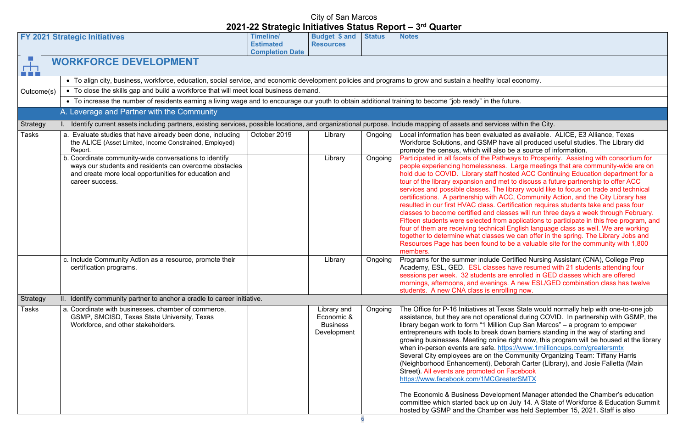ed as available. ALICE, E3 Alliance, Texas ave all produced useful studies. The Library did be a source of information.

It in all farticipate in all facets of the Prosperity. Assisting with consortium for Large meetings that are community-wide are on osted ACC Continuing Education department for a et to discuss a future partnership to offer ACC library would like to focus on trade and technical CC, Community Action, and the City Library has ertification requires students take and pass four isses will run three days a week through February. applications to participate in this free program, and English language class as well. We are working we can offer in the spring. The Library Jobs and be a valuable site for the community with 1,800

Certified Nursing Assistant (CNA), College Prep have resumed with 21 students attending four e enrolled in GED classes which are offered s. A new ESL/GED combination class has twelve lling now.

xas State would normally help with one-to-one job ional during COVID. In partnership with GSMP, the  $\Omega$  Cup San Marcos" – a program to empower own barriers standing in the way of starting and inght now, this program will be housed at the library tps://www.1millioncups.com/greatersmtx Community Organizing Team: Tiffany Harris oorah Carter (Library), and Josie Falletta (Main Facebook eaterSMTX

ment Manager attended the Chamber's education n July 14. A State of Workforce & Education Summit  $m$  was held September 15, 2021. Staff is also

|                                 |                                                                                                                                                                                              |                                                         |                                                             |               | <b>WARD I</b>                                                                                                                                                                                                                                                                                                                                                                                                                                                                                                                                                                                                                                                                                               |
|---------------------------------|----------------------------------------------------------------------------------------------------------------------------------------------------------------------------------------------|---------------------------------------------------------|-------------------------------------------------------------|---------------|-------------------------------------------------------------------------------------------------------------------------------------------------------------------------------------------------------------------------------------------------------------------------------------------------------------------------------------------------------------------------------------------------------------------------------------------------------------------------------------------------------------------------------------------------------------------------------------------------------------------------------------------------------------------------------------------------------------|
|                                 | <b>FY 2021 Strategic Initiatives</b>                                                                                                                                                         | Timeline/<br><b>Estimated</b><br><b>Completion Date</b> | <b>Budget \$ and</b><br><b>Resources</b>                    | <b>Status</b> | <b>Notes</b>                                                                                                                                                                                                                                                                                                                                                                                                                                                                                                                                                                                                                                                                                                |
| $\bar{H}$<br><b>The Company</b> | <b>WORKFORCE DEVELOPMENT</b>                                                                                                                                                                 |                                                         |                                                             |               |                                                                                                                                                                                                                                                                                                                                                                                                                                                                                                                                                                                                                                                                                                             |
|                                 | • To align city, business, workforce, education, social service, and economic development policies and programs to grow and sustain a healthy local economy.                                 |                                                         |                                                             |               |                                                                                                                                                                                                                                                                                                                                                                                                                                                                                                                                                                                                                                                                                                             |
| Outcome(s)                      | • To close the skills gap and build a workforce that will meet local business demand.                                                                                                        |                                                         |                                                             |               |                                                                                                                                                                                                                                                                                                                                                                                                                                                                                                                                                                                                                                                                                                             |
|                                 | • To increase the number of residents earning a living wage and to encourage our youth to obtain additional training to become "job ready" in the future.                                    |                                                         |                                                             |               |                                                                                                                                                                                                                                                                                                                                                                                                                                                                                                                                                                                                                                                                                                             |
|                                 | A. Leverage and Partner with the Community                                                                                                                                                   |                                                         |                                                             |               |                                                                                                                                                                                                                                                                                                                                                                                                                                                                                                                                                                                                                                                                                                             |
| Strategy                        | Identify current assets including partners, existing services, possible locations, and organizational purpose. Include mapping of assets and services within the City.                       |                                                         |                                                             |               |                                                                                                                                                                                                                                                                                                                                                                                                                                                                                                                                                                                                                                                                                                             |
| Tasks                           | a. Evaluate studies that have already been done, including<br>the ALICE (Asset Limited, Income Constrained, Employed)<br>Report.                                                             | October 2019                                            | Library                                                     | Ongoing       | Local information has been evaluated as available.<br>Workforce Solutions, and GSMP have all produced<br>promote the census, which will also be a source of in                                                                                                                                                                                                                                                                                                                                                                                                                                                                                                                                              |
|                                 | b. Coordinate community-wide conversations to identify<br>ways our students and residents can overcome obstacles<br>and create more local opportunities for education and<br>career success. |                                                         | Library                                                     | Ongoing       | Participated in all facets of the Pathways to Prosperi<br>people experiencing homelessness. Large meetings<br>hold due to COVID. Library staff hosted ACC Contir<br>tour of the library expansion and met to discuss a fu<br>services and possible classes. The library would like<br>certifications. A partnership with ACC, Community /<br>resulted in our first HVAC class. Certification require<br>classes to become certified and classes will run thre<br>Fifteen students were selected from applications to<br>four of them are receiving technical English languag<br>together to determine what classes we can offer in t<br>Resources Page has been found to be a valuable si<br>members.       |
|                                 | c. Include Community Action as a resource, promote their<br>certification programs.                                                                                                          |                                                         | Library                                                     | Ongoing       | Programs for the summer include Certified Nursing,<br>Academy, ESL, GED. ESL classes have resumed v<br>sessions per week. 32 students are enrolled in GED<br>mornings, afternoons, and evenings. A new ESL/GE<br>students. A new CNA class is enrolling now.                                                                                                                                                                                                                                                                                                                                                                                                                                                |
| Strategy                        | II. Identify community partner to anchor a cradle to career initiative.                                                                                                                      |                                                         |                                                             |               |                                                                                                                                                                                                                                                                                                                                                                                                                                                                                                                                                                                                                                                                                                             |
| <b>Tasks</b>                    | a. Coordinate with businesses, chamber of commerce,<br>GSMP, SMCISD, Texas State University, Texas<br>Workforce, and other stakeholders.                                                     |                                                         | Library and<br>Economic &<br><b>Business</b><br>Development | Ongoing       | The Office for P-16 Initiatives at Texas State would<br>assistance, but they are not operational during COV<br>library began work to form "1 Million Cup San Marco<br>entrepreneurs with tools to break down barriers stan<br>growing businesses. Meeting online right now, this p<br>when in-person events are safe. https://www.1million<br>Several City employees are on the Community Orga<br>(Neighborhood Enhancement), Deborah Carter (Library)<br>Street). All events are promoted on Facebook<br>https://www.facebook.com/1MCGreaterSMTX<br>The Economic & Business Development Manager a<br>committee which started back up on July 14. A State<br>hosted by GSMP and the Chamber was held Septer |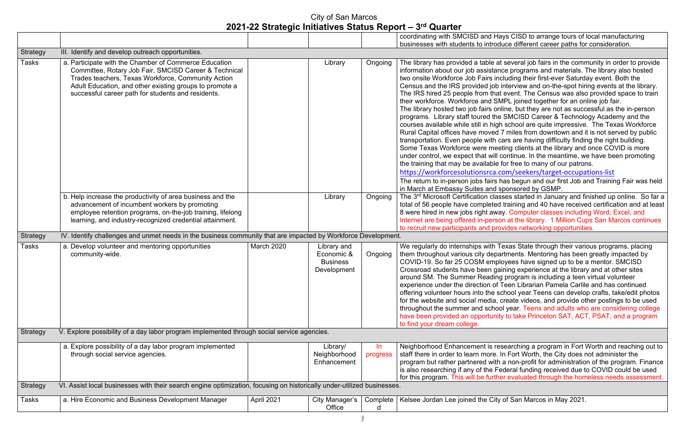ys CISD to arrange tours of local manufacturing ice different career paths for consideration.

several job fairs in the community in order to provide e programs and materials. The library also hosted luding their first-ever Saturday event. Both the nterview and on-the-spot hiring events at the library. event. The Census was also provided space to train IPL joined together for an online job fair.

ine, but they are not as successful as the in-person SMCISD Career & Technology Academy and the school are quite impressive. The Texas Workforce miles from downtown and it is not served by public ars are having difficulty finding the right building. ting clients at the library and once COVID is more continue. In the meantime, we have been promoting. for free to many of our patrons.

om/seekers/target-occupations-list

as begun and our first Job and Training Fair was held ponsored by GSMP.

.<br>ses started in January and finished up online. So far a training and 40 have received certification and at least y. Computer classes including Word, Excel, and n at the library. 1 Million Cups San Marcos continues rides networking opportunities.

exas State through their various programs, placing rtments. Mentoring has been greatly impacted by yees have signed up to be a mentor. SMCISD ning experience at the library and at other sites program is including a teen virtual volunteer een Librarian Pamela Carlile and has continued chool year.Teens can develop crafts, take/edit photos freate videos, and provide other postings to be used year. Teens and adults who are considering college to take Princeton SAT, ACT, PSAT, and a program

earching a program in Fort Worth and reaching out to In Fort Worth, the City does not administer the a non-profit for administration of the program. Finance deral funding received due to COVID could be used r evaluated through the homeless needs assessment.

of San Marcos in May 2021.

|                 |                                                                                                                                                                                                                                                                                       |            |                                                             |                 | coordinating with SMCISD and Hay<br>businesses with students to introdu                                                                                                                                                                                                                                                                                                                                                                                                                                                                                                                                                                                                      |
|-----------------|---------------------------------------------------------------------------------------------------------------------------------------------------------------------------------------------------------------------------------------------------------------------------------------|------------|-------------------------------------------------------------|-----------------|------------------------------------------------------------------------------------------------------------------------------------------------------------------------------------------------------------------------------------------------------------------------------------------------------------------------------------------------------------------------------------------------------------------------------------------------------------------------------------------------------------------------------------------------------------------------------------------------------------------------------------------------------------------------------|
| Strategy        | III. Identify and develop outreach opportunities.                                                                                                                                                                                                                                     |            |                                                             |                 |                                                                                                                                                                                                                                                                                                                                                                                                                                                                                                                                                                                                                                                                              |
| <b>Tasks</b>    | a. Participate with the Chamber of Commerce Education<br>Committee, Rotary Job Fair, SMCISD Career & Technical<br>Trades teachers, Texas Workforce, Community Action<br>Adult Education, and other existing groups to promote a<br>successful career path for students and residents. |            | Library                                                     | Ongoing         | The library has provided a table at<br>information about our job assistand<br>two onsite Workforce Job Fairs incl<br>Census and the IRS provided job ir<br>The IRS hired 25 people from that<br>their workforce. Workforce and SM<br>The library hosted two job fairs onli<br>programs. Library staff toured the<br>courses available while still in high<br>Rural Capital offices have moved 7<br>transportation. Even people with ca<br>Some Texas Workforce were meet<br>under control, we expect that will co<br>the training that may be available fo<br>https://workforcesolutionsrca.co<br>The return to in-person jobs fairs ha<br>in March at Embassy Suites and sp |
|                 | b. Help increase the productivity of area business and the<br>advancement of incumbent workers by promoting<br>employee retention programs, on-the-job training, lifelong<br>learning, and industry-recognized credential attainment.                                                 |            | Library                                                     | Ongoing         | The 3rd Microsoft Certification class<br>total of 56 people have completed t<br>8 were hired in new jobs right away<br>Internet are being offered in-persor<br>to recruit new participants and prov                                                                                                                                                                                                                                                                                                                                                                                                                                                                          |
| <b>Strategy</b> | IV. Identify challenges and unmet needs in the business community that are impacted by Workforce Development.                                                                                                                                                                         |            |                                                             |                 |                                                                                                                                                                                                                                                                                                                                                                                                                                                                                                                                                                                                                                                                              |
| <b>Tasks</b>    | a. Develop volunteer and mentoring opportunities<br>community-wide.                                                                                                                                                                                                                   | March 2020 | Library and<br>Economic &<br><b>Business</b><br>Development | Ongoing         | We regularly do internships with Te<br>them throughout various city depar<br>COVID-19. So far 25 COSM emplo<br>Crossroad students have been gair<br>around SM. The Summer Reading<br>experience under the direction of T<br>offering volunteer hours into the sc<br>for the website and social media, c<br>throughout the summer and school<br>have been provided an opportunity<br>to find your dream college.                                                                                                                                                                                                                                                              |
| <b>Strategy</b> | V. Explore possibility of a day labor program implemented through social service agencies.                                                                                                                                                                                            |            |                                                             |                 |                                                                                                                                                                                                                                                                                                                                                                                                                                                                                                                                                                                                                                                                              |
|                 | a. Explore possibility of a day labor program implemented<br>through social service agencies.                                                                                                                                                                                         |            | Library/<br>Neighborhood<br>Enhancement                     | In.<br>progress | Neighborhood Enhancement is res<br>staff there in order to learn more. Ir<br>program but rather partnered with a<br>is also researching if any of the Feo<br>for this program. This will be furthe                                                                                                                                                                                                                                                                                                                                                                                                                                                                           |
| <b>Strategy</b> | VI. Assist local businesses with their search engine optimization, focusing on historically under-utilized businesses.                                                                                                                                                                |            |                                                             |                 |                                                                                                                                                                                                                                                                                                                                                                                                                                                                                                                                                                                                                                                                              |
| Tasks           | a. Hire Economic and Business Development Manager                                                                                                                                                                                                                                     | April 2021 | City Manager's<br>Office                                    | Complete<br>d   | Kelsee Jordan Lee joined the City o                                                                                                                                                                                                                                                                                                                                                                                                                                                                                                                                                                                                                                          |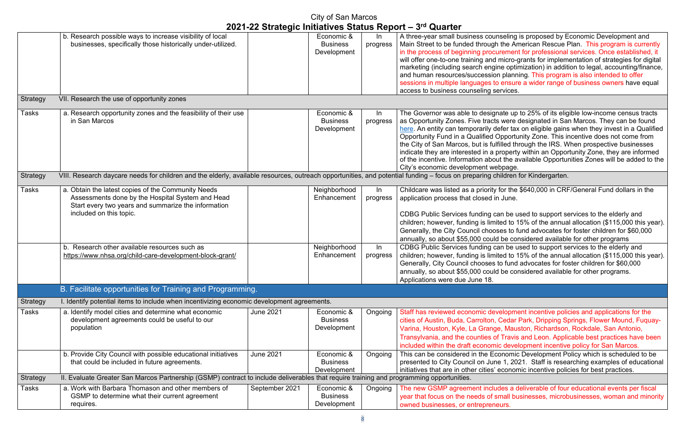eling is proposed by Economic Development and ne American Rescue Plan. This program is currently  $\frac{1}{2}$ in the professional services. Once established, it icro-grants for implementation of strategies for digital optimization) in addition to legal, accounting/finance, blanning. This program is also intended to offer **nsure a wider range of business owners have equal** 

te up to 25% of its eligible low-income census tracts vere designated in San Marcos. They can be found er tax on eligible gains when they invest in a Qualified portunity Zone. This incentive does not come from the City of the IRS. When prospective businesses perty within an Opportunity Zone, they are informed the available Opportunities Zones will be added to the page.

dren for Kindergarten.

 $r$  the  $$640.000$  in CRF/General Fund dollars in the lune.

be used to support services to the elderly and d to 15% of the annual allocation (\$115,000 this year). s to fund advocates for foster children for \$60,000 e considered available for other programs be used to support services to the elderly and d to 15% of the annual allocation (\$115,000 this year). fund advocates for foster children for \$60,000 e considered available for other programs.

opment incentive policies and applications for the edar Park, Dripping Springs, Flower Mound, Fuquay-Mauston, Richardson, Rockdale, San Antonio, Travis and Leon. Applicable best practices have been development incentive policy for San Marcos.

ongic Development Policy which is scheduled to be 1, 2021. Staff is researching examples of educational conomic incentive policies for best practices.

Is a deliverable of four educational events per fiscal all businesses, microbusinesses, woman and minority

|                 |                                                                                                                                                                                          |                  | City of San Marcos                           |                   | 2021-22 Strategic Initiatives Status Report - 3rd Quarter                                                                                                                                                                                                                                                                                                             |
|-----------------|------------------------------------------------------------------------------------------------------------------------------------------------------------------------------------------|------------------|----------------------------------------------|-------------------|-----------------------------------------------------------------------------------------------------------------------------------------------------------------------------------------------------------------------------------------------------------------------------------------------------------------------------------------------------------------------|
|                 | b. Research possible ways to increase visibility of local<br>businesses, specifically those historically under-utilized.                                                                 |                  | Economic &<br><b>Business</b><br>Development | $\ln$<br>progress | A three-year small business counseling<br>Main Street to be funded through the An<br>in the process of beginning procurement<br>will offer one-to-one training and micro-c<br>marketing (including search engine optir<br>and human resources/succession plann<br>sessions in multiple languages to ensure<br>access to business counseling services.                 |
| <b>Strategy</b> | VII. Research the use of opportunity zones                                                                                                                                               |                  |                                              |                   |                                                                                                                                                                                                                                                                                                                                                                       |
| Tasks           | a. Research opportunity zones and the feasibility of their use<br>in San Marcos                                                                                                          |                  | Economic &<br><b>Business</b><br>Development | In<br>progress    | The Governor was able to designate up<br>as Opportunity Zones. Five tracts were of<br>here. An entity can temporarily defer tax<br><b>Opportunity Fund in a Qualified Opportu</b><br>the City of San Marcos, but is fulfilled thi<br>indicate they are interested in a property<br>of the incentive. Information about the at<br>City's economic development webpage. |
| <b>Strategy</b> | VIII. Research daycare needs for children and the elderly, available resources, outreach opportunities, and potential funding - focus on preparing children i                            |                  |                                              |                   |                                                                                                                                                                                                                                                                                                                                                                       |
| Tasks           | a. Obtain the latest copies of the Community Needs<br>Assessments done by the Hospital System and Head<br>Start every two years and summarize the information<br>included on this topic. |                  | Neighborhood<br>Enhancement                  | $\ln$<br>progress | Childcare was listed as a priority for the<br>application process that closed in June.<br>CDBG Public Services funding can be u<br>children; however, funding is limited to 1<br>Generally, the City Council chooses to fu<br>annually, so about \$55,000 could be cor                                                                                                |
|                 | b. Research other available resources such as<br>https://www.nhsa.org/child-care-development-block-grant/                                                                                |                  | Neighborhood<br>Enhancement                  | ln<br>progress    | CDBG Public Services funding can be u<br>children; however, funding is limited to 1<br>Generally, City Council chooses to fund<br>annually, so about \$55,000 could be cor<br>Applications were due June 18.                                                                                                                                                          |
|                 | B. Facilitate opportunities for Training and Programming.                                                                                                                                |                  |                                              |                   |                                                                                                                                                                                                                                                                                                                                                                       |
| <b>Strategy</b> | I. Identify potential items to include when incentivizing economic development agreements.                                                                                               |                  |                                              |                   |                                                                                                                                                                                                                                                                                                                                                                       |
| Tasks           | a. Identify model cities and determine what economic<br>development agreements could be useful to our<br>population                                                                      | <b>June 2021</b> | Economic &<br><b>Business</b><br>Development | Ongoing           | Staff has reviewed economic developme<br>cities of Austin, Buda, Carrolton, Cedar I<br>Varina, Houston, Kyle, La Grange, Maus<br>Transylvania, and the counties of Travis<br>included within the draft economic devel                                                                                                                                                 |
|                 | b. Provide City Council with possible educational initiatives<br>that could be included in future agreements.                                                                            | <b>June 2021</b> | Economic &<br><b>Business</b><br>Development | Ongoing           | This can be considered in the Economic<br>presented to City Council on June 1, 202<br>initiatives that are in other cities' econon                                                                                                                                                                                                                                    |
| <b>Strategy</b> | II. Evaluate Greater San Marcos Partnership (GSMP) contract to include deliverables that require training and programming opportunities.                                                 |                  |                                              |                   |                                                                                                                                                                                                                                                                                                                                                                       |
| Tasks           | a. Work with Barbara Thomason and other members of<br>GSMP to determine what their current agreement<br>requires.                                                                        | September 2021   | Economic &<br><b>Business</b><br>Development | Ongoing           | The new GSMP agreement includes a d<br>year that focus on the needs of small bu<br>owned businesses, or entrepreneurs.                                                                                                                                                                                                                                                |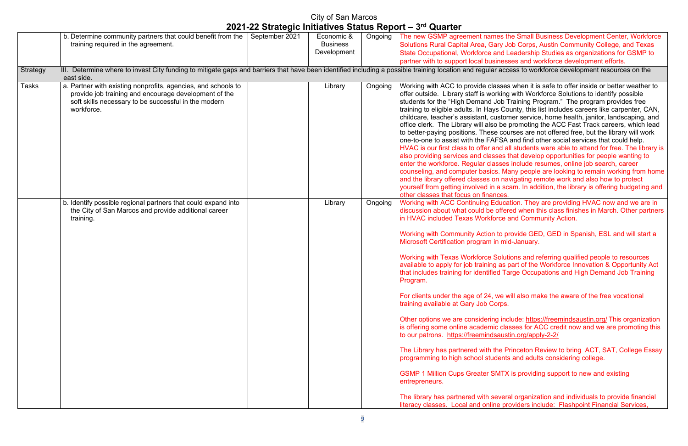the Small Business Development Center, Workforce Job Corps, Austin Community College, and Texas Leadership Studies as organizations for GSMP to sses and workforce development efforts.

ccess to workforce development resources on the

es when it is safe to offer inside or better weather to ng with Workforce Solutions to identify possible Training Program." The program provides free County, this list includes careers like carpenter, CAN, omer service, home health, janitor, landscaping, and e promoting the ACC Fast Track careers, which lead ourses are not offered free, but the library will work A and find other social services that could help. all students were able to attend for free. The library is s that develop opportunities for people wanting to es include resumes, online job search, career Many people are looking to remain working from home avigating remote work and also how to protect scam. In addition, the library is offering budgeting and

cation. They are providing HVAC now and we are in ered when this class finishes in March. Other partners **and Community Action.** 

provide GED, GED in Spanish, ESL and will start a nid-January.

utions and referring qualified people to resources apart of the Workforce Innovation & Opportunity Act Targe Occupations and High Demand Job Training

will also make the aware of the free vocational

orther options include: <https://freemindsaustin.org/> This organization. lasses for ACC credit now and we are promoting this stin.org/apply-2-2/

Princeton Review to bring ACT, SAT, College Essay its and adults considering college.

 $\overline{X}$  is providing support to new and existing

**The library has partners and individuals to provide financial** oroviders include: Flashpoint Financial Services,

|          | b. Determine community partners that could benefit from the                                                                                                                                  | September 2021 | Economic &      |         | Ongoing   The new GSMP agreement names the                                                                                                                                                                                                                                                                                                                                                                                                                                                                                                                                                                                                                                                                                                                                                     |
|----------|----------------------------------------------------------------------------------------------------------------------------------------------------------------------------------------------|----------------|-----------------|---------|------------------------------------------------------------------------------------------------------------------------------------------------------------------------------------------------------------------------------------------------------------------------------------------------------------------------------------------------------------------------------------------------------------------------------------------------------------------------------------------------------------------------------------------------------------------------------------------------------------------------------------------------------------------------------------------------------------------------------------------------------------------------------------------------|
|          | training required in the agreement.                                                                                                                                                          |                | <b>Business</b> |         | <b>Solutions Rural Capital Area, Gary J</b>                                                                                                                                                                                                                                                                                                                                                                                                                                                                                                                                                                                                                                                                                                                                                    |
|          |                                                                                                                                                                                              |                | Development     |         | <b>State Occupational, Workforce and L</b>                                                                                                                                                                                                                                                                                                                                                                                                                                                                                                                                                                                                                                                                                                                                                     |
|          |                                                                                                                                                                                              |                |                 |         | partner with to support local busines                                                                                                                                                                                                                                                                                                                                                                                                                                                                                                                                                                                                                                                                                                                                                          |
| Strategy | III. Determine where to invest City funding to mitigate gaps and barriers that have been identified including a possible training location and regular acc<br>east side.                     |                |                 |         |                                                                                                                                                                                                                                                                                                                                                                                                                                                                                                                                                                                                                                                                                                                                                                                                |
| Tasks    | a. Partner with existing nonprofits, agencies, and schools to<br>provide job training and encourage development of the<br>soft skills necessary to be successful in the modern<br>workforce. |                | Library         | Ongoing | Working with ACC to provide classes<br>offer outside. Library staff is working<br>students for the "High Demand Job 1<br>training to eligible adults. In Hays Co<br>childcare, teacher's assistant, custor<br>office clerk. The Library will also be<br>to better-paying positions. These cou<br>one-to-one to assist with the FAFSA<br>HVAC is our first class to offer and a<br>also providing services and classes t<br>enter the workforce. Regular classes<br>counseling, and computer basics. Ma<br>and the library offered classes on na<br>yourself from getting involved in a sc<br>other classes that focus on finances.                                                                                                                                                             |
|          | b. Identify possible regional partners that could expand into<br>the City of San Marcos and provide additional career<br>training.                                                           |                | Library         | Ongoing | <b>Working with ACC Continuing Educa</b><br>discussion about what could be offer<br>in HVAC included Texas Workforce a<br>Working with Community Action to p<br>Microsoft Certification program in mi<br><b>Working with Texas Workforce Solut</b><br>available to apply for job training as<br>that includes training for identified Ta<br>Program.<br>For clients under the age of 24, we w<br>training available at Gary Job Corps.<br>Other options we are considering inc<br>is offering some online academic cla<br>to our patrons. https://freemindsaust<br>The Library has partnered with the P<br>programming to high school students<br><b>GSMP 1 Million Cups Greater SMTX</b><br>entrepreneurs.<br>The library has partnered with severa<br>literacy classes. Local and online pre |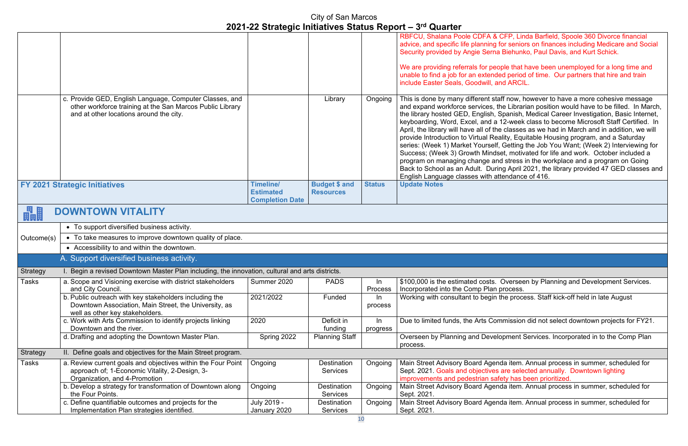FP, Linda Barfield, Spoole 360 Divorce financial seniors on finances including Medicare and Social **Siehunko, Paul Davis, and Kurt Schick.** 

le that have been unemployed for a long time and period of time. Our partners that hire and train ARCIL.

 $\epsilon$  now, however to have a more cohesive message Librarian position would have to be filled. In March, the library handshanish, Danish, Spanish, Medical Career Investigation, Basic Internet, 2-week class to become Microsoft Staff Certified. In classes as we had in March and in addition, we will ity, Equitable Housing program, and a Saturday  $\overline{\mathsf{S}}$ etting the Job You Want; (Week 2) Interviewing for  $t$ , motivated for life and work. October included a stress in the workplace and a program on Going April 2021, the library provided 47 GED classes and Indance of 416.

**Overseen by Planning and Development Services.** ocess.

e process. Staff kick-off held in late August

mission did not select downtown projects for FY21.

oment Services. Incorporated in to the Comp Plan

a item. Annual process in summer, scheduled for re selected annually. Downtown lighting ty has been prioritized.

a item. Annual process in summer, scheduled for

a item. Annual process in summer, scheduled for

|              |                                                                                                                                                                 |                                      |                                          |                | 2021-22 Julaiegic Initiatives Jialus Report – Julianus                                                                                                                                                                                                                                                                                                                                                                                  |
|--------------|-----------------------------------------------------------------------------------------------------------------------------------------------------------------|--------------------------------------|------------------------------------------|----------------|-----------------------------------------------------------------------------------------------------------------------------------------------------------------------------------------------------------------------------------------------------------------------------------------------------------------------------------------------------------------------------------------------------------------------------------------|
|              |                                                                                                                                                                 |                                      |                                          |                | RBFCU, Shalana Poole CDFA & CI<br>advice, and specific life planning for<br>Security provided by Angie Serna B<br>We are providing referrals for peopl<br>unable to find a job for an extended<br>include Easter Seals, Goodwill, and                                                                                                                                                                                                   |
|              | c. Provide GED, English Language, Computer Classes, and<br>other workforce training at the San Marcos Public Library<br>and at other locations around the city. |                                      | Library                                  | Ongoing        | This is done by many different staff<br>and expand workforce services, the<br>the library hosted GED, English, Sp<br>keyboarding, Word, Excel, and a 12<br>April, the library will have all of the o<br>provide Introduction to Virtual Realit<br>series: (Week 1) Market Yourself, C<br>Success; (Week 3) Growth Mindset<br>program on managing change and<br>Back to School as an Adult. During<br>English Language classes with atte |
|              | <b>FY 2021 Strategic Initiatives</b>                                                                                                                            | <b>Timeline/</b><br><b>Estimated</b> | <b>Budget \$ and</b><br><b>Resources</b> | <b>Status</b>  | <b>Update Notes</b>                                                                                                                                                                                                                                                                                                                                                                                                                     |
|              |                                                                                                                                                                 | <b>Completion Date</b>               |                                          |                |                                                                                                                                                                                                                                                                                                                                                                                                                                         |
| 畾            | <b>DOWNTOWN VITALITY</b>                                                                                                                                        |                                      |                                          |                |                                                                                                                                                                                                                                                                                                                                                                                                                                         |
|              | • To support diversified business activity.                                                                                                                     |                                      |                                          |                |                                                                                                                                                                                                                                                                                                                                                                                                                                         |
| Outcome(s)   | • To take measures to improve downtown quality of place.                                                                                                        |                                      |                                          |                |                                                                                                                                                                                                                                                                                                                                                                                                                                         |
|              | • Accessibility to and within the downtown.                                                                                                                     |                                      |                                          |                |                                                                                                                                                                                                                                                                                                                                                                                                                                         |
|              | A. Support diversified business activity.                                                                                                                       |                                      |                                          |                |                                                                                                                                                                                                                                                                                                                                                                                                                                         |
| Strategy     | I. Begin a revised Downtown Master Plan including, the innovation, cultural and arts districts.                                                                 |                                      |                                          |                |                                                                                                                                                                                                                                                                                                                                                                                                                                         |
| <b>Tasks</b> | a. Scope and Visioning exercise with district stakeholders   Summer 2020                                                                                        |                                      | <b>PADS</b>                              | In             | \$100,000 is the estimated costs. O                                                                                                                                                                                                                                                                                                                                                                                                     |
|              | and City Council.                                                                                                                                               |                                      |                                          | Process        | Incorporated into the Comp Plan pro                                                                                                                                                                                                                                                                                                                                                                                                     |
|              | b. Public outreach with key stakeholders including the<br>Downtown Association, Main Street, the University, as<br>well as other key stakeholders.              | 2021/2022                            | Funded                                   | In<br>process  | Working with consultant to begin the                                                                                                                                                                                                                                                                                                                                                                                                    |
|              | c. Work with Arts Commission to identify projects linking<br>Downtown and the river.                                                                            | 2020                                 | Deficit in<br>funding                    | In<br>progress | Due to limited funds, the Arts Comn                                                                                                                                                                                                                                                                                                                                                                                                     |
|              | d. Drafting and adopting the Downtown Master Plan.                                                                                                              | Spring 2022                          | <b>Planning Staff</b>                    |                | Overseen by Planning and Develop<br>process.                                                                                                                                                                                                                                                                                                                                                                                            |
| Strategy     | II. Define goals and objectives for the Main Street program.                                                                                                    |                                      |                                          |                |                                                                                                                                                                                                                                                                                                                                                                                                                                         |
| Tasks        | a. Review current goals and objectives within the Four Point<br>approach of; 1-Economic Vitality, 2-Design, 3-<br>Organization, and 4-Promotion                 | Ongoing                              | <b>Destination</b><br><b>Services</b>    | Ongoing        | Main Street Advisory Board Agenda<br>Sept. 2021. Goals and objectives a<br>improvements and pedestrian safet                                                                                                                                                                                                                                                                                                                            |
|              | b. Develop a strategy for transformation of Downtown along<br>the Four Points.                                                                                  | Ongoing                              | <b>Destination</b><br><b>Services</b>    | Ongoing        | <b>Main Street Advisory Board Agenda</b><br>Sept. 2021.                                                                                                                                                                                                                                                                                                                                                                                 |
|              | c. Define quantifiable outcomes and projects for the<br>Implementation Plan strategies identified.                                                              | July 2019 -<br>January 2020          | <b>Destination</b><br><b>Services</b>    | Ongoing        | Main Street Advisory Board Agenda<br>Sept. 2021.                                                                                                                                                                                                                                                                                                                                                                                        |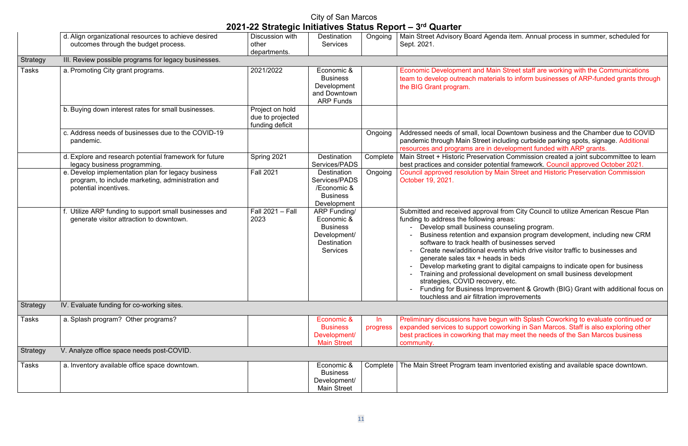la item. Annual process in summer, scheduled for

**Street staff are working with the Communications** to inform businesses of ARP-funded grants through

owntown business and the Chamber due to COVID uding curbside parking spots, signage. Additional relopment funded with ARP grants.

Gommission created a joint subcommittee to learn ial framework. Council approved October 2021. in Street and Historic Preservation Commission

rom City Council to utilize American Rescue Plan

nseling program.

ansion program development, including new CRM usinesses served

s which drive visitor traffic to businesses and in beds

digital campaigns to indicate open for business evelopment on small business development etc.

vement & Growth (BIG) Grant with additional focus on herovements

n with Splash Coworking to evaluate continued or prking in San Marcos. Staff is also exploring other ay meet the needs of the San Marcos business

entoried existing and available space downtown.

|                 | d. Align organizational resources to achieve desired   | Discussion with  | <b>Destination</b>  | Ongoing  | Main Street Advisory Board Agenda ite     |
|-----------------|--------------------------------------------------------|------------------|---------------------|----------|-------------------------------------------|
|                 | outcomes through the budget process.                   | other            | <b>Services</b>     |          | Sept. 2021.                               |
|                 |                                                        | departments.     |                     |          |                                           |
| Strategy        | III. Review possible programs for legacy businesses.   |                  |                     |          |                                           |
|                 |                                                        |                  |                     |          |                                           |
| Tasks           | a. Promoting City grant programs.                      | 2021/2022        | Economic &          |          | <b>Economic Development and Main Stre</b> |
|                 |                                                        |                  | <b>Business</b>     |          | team to develop outreach materials to     |
|                 |                                                        |                  | Development         |          | the BIG Grant program.                    |
|                 |                                                        |                  | and Downtown        |          |                                           |
|                 |                                                        |                  | <b>ARP Funds</b>    |          |                                           |
|                 | b. Buying down interest rates for small businesses.    | Project on hold  |                     |          |                                           |
|                 |                                                        | due to projected |                     |          |                                           |
|                 |                                                        | funding deficit  |                     |          |                                           |
|                 | c. Address needs of businesses due to the COVID-19     |                  |                     | Ongoing  | Addressed needs of small, local Down      |
|                 | pandemic.                                              |                  |                     |          | pandemic through Main Street includin     |
|                 |                                                        |                  |                     |          | resources and programs are in develop     |
|                 | d. Explore and research potential framework for future | Spring 2021      | <b>Destination</b>  | Complete | Main Street + Historic Preservation Co    |
|                 | legacy business programming.                           |                  | Services/PADS       |          | best practices and consider potential fr  |
|                 | e. Develop implementation plan for legacy business     | <b>Fall 2021</b> | <b>Destination</b>  | Ongoing  | Council approved resolution by Main S     |
|                 | program, to include marketing, administration and      |                  | Services/PADS       |          | October 19, 2021.                         |
|                 | potential incentives.                                  |                  | /Economic &         |          |                                           |
|                 |                                                        |                  | <b>Business</b>     |          |                                           |
|                 |                                                        |                  | Development         |          |                                           |
|                 | f. Utilize ARP funding to support small businesses and | Fall 2021 - Fall | <b>ARP Funding/</b> |          | Submitted and received approval from      |
|                 | generate visitor attraction to downtown.               | 2023             | Economic &          |          | funding to address the following areas:   |
|                 |                                                        |                  | <b>Business</b>     |          | Develop small business counse             |
|                 |                                                        |                  | Development/        |          | <b>Business retention and expansional</b> |
|                 |                                                        |                  | <b>Destination</b>  |          | software to track health of busin         |
|                 |                                                        |                  | <b>Services</b>     |          | Create new/additional events wl           |
|                 |                                                        |                  |                     |          | generate sales tax + heads in be          |
|                 |                                                        |                  |                     |          | Develop marketing grant to digit          |
|                 |                                                        |                  |                     |          | Training and professional devel           |
|                 |                                                        |                  |                     |          | strategies, COVID recovery, etc           |
|                 |                                                        |                  |                     |          | <b>Funding for Business Improvem</b>      |
|                 |                                                        |                  |                     |          | touchless and air filtration impro        |
| Strategy        | IV. Evaluate funding for co-working sites.             |                  |                     |          |                                           |
|                 |                                                        |                  |                     |          |                                           |
| Tasks           | a. Splash program? Other programs?                     |                  | Economic &          | In       | Preliminary discussions have begun wi     |
|                 |                                                        |                  | <b>Business</b>     | progress | expanded services to support coworkir     |
|                 |                                                        |                  | Development/        |          | best practices in coworking that may m    |
|                 |                                                        |                  | <b>Main Street</b>  |          | community.                                |
| <b>Strategy</b> | V. Analyze office space needs post-COVID.              |                  |                     |          |                                           |
| Tasks           | a. Inventory available office space downtown.          |                  | Economic &          | Complete | The Main Street Program team invento      |
|                 |                                                        |                  | <b>Business</b>     |          |                                           |
|                 |                                                        |                  | Development/        |          |                                           |
|                 |                                                        |                  | <b>Main Street</b>  |          |                                           |
|                 |                                                        |                  |                     |          |                                           |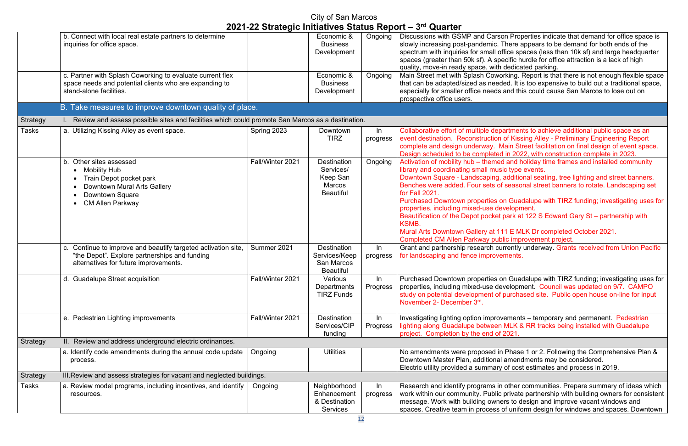on Properties indicate that demand for office space is here appears to be demand for both ends of the fice spaces (less than 10k sf) and large headquarter ecific hurdle for office attraction is a lack of high dedicated parking.

 $\overline{\text{rking}}$ . Report is that there is not enough flexible space ed. It is too expensive to build out a traditional space, and this could cause San Marcos to lose out on

artments to achieve additional public space as an of Kissing Alley - Preliminary Engineering Report lain Street facilitation on final design of event space. in 2022, with construction complete in 2023.

I and holiday time frames and installed community c type events.

additional seating, tree lighting and street banners. seasonal street banners to rotate. Landscaping set

In Guadalupe with TIRZ funding; investigating uses for velopment.

park at 122 S Edward Gary St – partnership with

1 E MLK Dr completed October 2021. lic improvement project.

Frently underway. Grants received from Union Pacific ments.

In Guadalupe with TIRZ funding; investigating uses for velopment. Council was updated on 9/7. CAMPO purchased site. Public open house on-line for input

Inversigation improvery and permanent. Pedestrian MLK & RR tracks being installed with Guadalupe 2021.

Phase 1 or 2. Following the Comprehensive Plan & amendments may be considered. of cost estimates and process in 2019.

other communities. Prepare summary of ideas which private partnership with building owners for consistent irs to design and improve vacant windows and of uniform design for windows and spaces. Downtown

|                 | b. Connect with local real estate partners to determine<br>inquiries for office space.                                                                                     |                  | Economic &<br><b>Business</b><br>Development                                 | Ongoing           | Discussions with GSMP and Carso<br>slowly increasing post-pandemic. T<br>spectrum with inquiries for small of<br>spaces (greater than 50k sf). A spe<br>quality, move-in ready space, with                                                                                                                                                                                                           |
|-----------------|----------------------------------------------------------------------------------------------------------------------------------------------------------------------------|------------------|------------------------------------------------------------------------------|-------------------|------------------------------------------------------------------------------------------------------------------------------------------------------------------------------------------------------------------------------------------------------------------------------------------------------------------------------------------------------------------------------------------------------|
|                 | c. Partner with Splash Coworking to evaluate current flex<br>space needs and potential clients who are expanding to<br>stand-alone facilities.                             |                  | Economic &<br><b>Business</b><br>Development                                 | Ongoing           | Main Street met with Splash Cowor<br>that can be adapted/sized as need<br>especially for smaller office needs a<br>prospective office users.                                                                                                                                                                                                                                                         |
|                 | B. Take measures to improve downtown quality of place.                                                                                                                     |                  |                                                                              |                   |                                                                                                                                                                                                                                                                                                                                                                                                      |
| <b>Strategy</b> | Review and assess possible sites and facilities which could promote San Marcos as a destination.                                                                           |                  |                                                                              |                   |                                                                                                                                                                                                                                                                                                                                                                                                      |
| <b>Tasks</b>    | a. Utilizing Kissing Alley as event space.                                                                                                                                 | Spring 2023      | Downtown<br><b>TIRZ</b>                                                      | ln<br>progress    | Collaborative effort of multiple depa<br>event destination. Reconstruction<br>complete and design underway. M<br>Design scheduled to be completed                                                                                                                                                                                                                                                    |
|                 | b. Other sites assessed<br><b>Mobility Hub</b><br>$\bullet$<br>Train Depot pocket park<br>Downtown Mural Arts Gallery<br><b>Downtown Square</b><br><b>CM Allen Parkway</b> | Fall/Winter 2021 | <b>Destination</b><br>Services/<br>Keep San<br>Marcos<br><b>Beautiful</b>    | Ongoing           | Activation of mobility hub - themed<br>library and coordinating small musi<br>Downtown Square - Landscaping, a<br>Benches were added. Four sets of<br>for Fall 2021.<br><b>Purchased Downtown properties or</b><br>properties, including mixed-use dev<br>Beautification of the Depot pocket p<br><b>KSMB.</b><br><b>Mural Arts Downtown Gallery at 11</b><br><b>Completed CM Allen Parkway publ</b> |
|                 | c. Continue to improve and beautify targeted activation site,<br>"the Depot". Explore partnerships and funding<br>alternatives for future improvements.                    | Summer 2021      | <b>Destination</b><br>Services/Keep<br><b>San Marcos</b><br><b>Beautiful</b> | ln<br>progress    | Grant and partnership research cur<br>for landscaping and fence improver                                                                                                                                                                                                                                                                                                                             |
|                 | d. Guadalupe Street acquisition                                                                                                                                            | Fall/Winter 2021 | Various<br>Departments<br><b>TIRZ Funds</b>                                  | In<br>Progress    | Purchased Downtown properties or<br>properties, including mixed-use dev<br>study on potential development of p<br>November 2- December 3rd.                                                                                                                                                                                                                                                          |
|                 | e. Pedestrian Lighting improvements                                                                                                                                        | Fall/Winter 2021 | <b>Destination</b><br>Services/CIP<br>funding                                | $\ln$<br>Progress | Investigating lighting option improve<br>lighting along Guadalupe between<br>project. Completion by the end of 2                                                                                                                                                                                                                                                                                     |
| Strategy        | II. Review and address underground electric ordinances.                                                                                                                    |                  |                                                                              |                   |                                                                                                                                                                                                                                                                                                                                                                                                      |
|                 | a. Identify code amendments during the annual code update<br>process.                                                                                                      | Ongoing          | <b>Utilities</b>                                                             |                   | No amendments were proposed in<br>Downtown Master Plan, additional<br>Electric utility provided a summary                                                                                                                                                                                                                                                                                            |
| <b>Strategy</b> | III. Review and assess strategies for vacant and neglected buildings.                                                                                                      |                  |                                                                              |                   |                                                                                                                                                                                                                                                                                                                                                                                                      |
| <b>Tasks</b>    | a. Review model programs, including incentives, and identify<br>resources.                                                                                                 | Ongoing          | Neighborhood<br>Enhancement<br>& Destination<br><b>Services</b>              | In<br>progress    | Research and identify programs in<br>work within our community. Public<br>message. Work with building owne<br>spaces. Creative team in process o                                                                                                                                                                                                                                                     |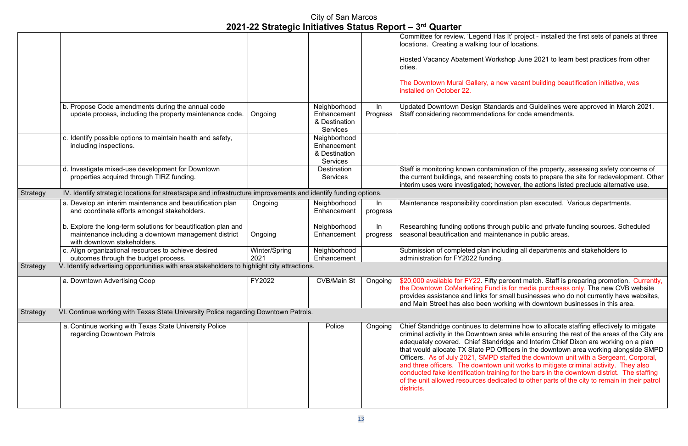s It' project - installed the first sets of panels at three of locations.

hop June 2021 to learn best practices from other

#### w vacant building beautification initiative, was

Inds and Guidelines were approved in March 2021. s for code amendments.

ation of the property, assessing safety concerns of ing costs to prepare the site for redevelopment. Other wever, the actions listed preclude alternative use.

ation plan executed. Various departments.

gh public and private funding sources. Scheduled nance in public areas.

ading all departments and stakeholders to

ercent match. Staff is preparing promotion. Currently, is for media purchases only. The new CVB website mall businesses who do not currently have websites, king with downtown businesses in this area.

ermine how to allocate staffing effectively to mitigate rea while ensuring the rest of the areas of the City are idge and Interim Chief Dixon are working on a plan fficers in the downtown area working alongside SMPD taffed the downtown unit with a Sergeant, Corporal, unit works to mitigate criminal activity. They also ng for the bars in the downtown district. The staffing ated to other parts of the city to remain in their patrol

|                 |                                                                                                                                                       |                       |                                                                 |                | 2021-22 Strategic militatives Status Report = $3^{\circ}$ Quarter                                                                                                                                                                                                                                                                  |
|-----------------|-------------------------------------------------------------------------------------------------------------------------------------------------------|-----------------------|-----------------------------------------------------------------|----------------|------------------------------------------------------------------------------------------------------------------------------------------------------------------------------------------------------------------------------------------------------------------------------------------------------------------------------------|
|                 |                                                                                                                                                       |                       |                                                                 |                | Committee for review. 'Legend Has<br>locations. Creating a walking tour o<br><b>Hosted Vacancy Abatement Works</b><br>cities.<br>The Downtown Mural Gallery, a net                                                                                                                                                                 |
|                 |                                                                                                                                                       |                       |                                                                 |                | installed on October 22.                                                                                                                                                                                                                                                                                                           |
|                 | b. Propose Code amendments during the annual code<br>update process, including the property maintenance code.                                         | Ongoing               | Neighborhood<br>Enhancement<br>& Destination<br><b>Services</b> | In<br>Progress | <b>Updated Downtown Design Standa</b><br>Staff considering recommendations                                                                                                                                                                                                                                                         |
|                 | c. Identify possible options to maintain health and safety,<br>including inspections.                                                                 |                       | Neighborhood<br>Enhancement<br>& Destination<br><b>Services</b> |                |                                                                                                                                                                                                                                                                                                                                    |
|                 | d. Investigate mixed-use development for Downtown<br>properties acquired through TIRZ funding.                                                        |                       | <b>Destination</b><br><b>Services</b>                           |                | Staff is monitoring known contamin<br>the current buildings, and researchi<br>interim uses were investigated; hov                                                                                                                                                                                                                  |
| <b>Strategy</b> | IV. Identify strategic locations for streetscape and infrastructure improvements and identify funding options.                                        |                       |                                                                 |                |                                                                                                                                                                                                                                                                                                                                    |
|                 | a. Develop an interim maintenance and beautification plan<br>and coordinate efforts amongst stakeholders.                                             | Ongoing               | Neighborhood<br>Enhancement                                     | In<br>progress | Maintenance responsibility coordina                                                                                                                                                                                                                                                                                                |
|                 | b. Explore the long-term solutions for beautification plan and<br>maintenance including a downtown management district<br>with downtown stakeholders. | Ongoing               | Neighborhood<br>Enhancement                                     | In<br>progress | Researching funding options throug<br>seasonal beautification and mainter                                                                                                                                                                                                                                                          |
|                 | c. Align organizational resources to achieve desired<br>outcomes through the budget process.                                                          | Winter/Spring<br>2021 | Neighborhood<br>Enhancement                                     |                | Submission of completed plan inclu<br>administration for FY2022 funding.                                                                                                                                                                                                                                                           |
| Strategy        | V. Identify advertising opportunities with area stakeholders to highlight city attractions.                                                           |                       |                                                                 |                |                                                                                                                                                                                                                                                                                                                                    |
|                 | a. Downtown Advertising Coop                                                                                                                          | FY2022                |                                                                 |                | CVB/Main St   Ongoing   \$20,000 available for FY22. Fifty pe<br>the Downtown CoMarketing Fund is<br>provides assistance and links for sr<br>and Main Street has also been wor                                                                                                                                                     |
| <b>Strategy</b> | VI. Continue working with Texas State University Police regarding Downtown Patrols.                                                                   |                       |                                                                 |                |                                                                                                                                                                                                                                                                                                                                    |
|                 | a. Continue working with Texas State University Police<br>regarding Downtown Patrols                                                                  |                       | Police                                                          | Ongoing        | Chief Standridge continues to deter<br>criminal activity in the Downtown ar<br>adequately covered. Chief Standrid<br>that would allocate TX State PD Of<br>Officers. As of July 2021, SMPD st<br>and three officers. The downtown i<br>conducted fake identification trainin<br>of the unit allowed resources dedica<br>districts. |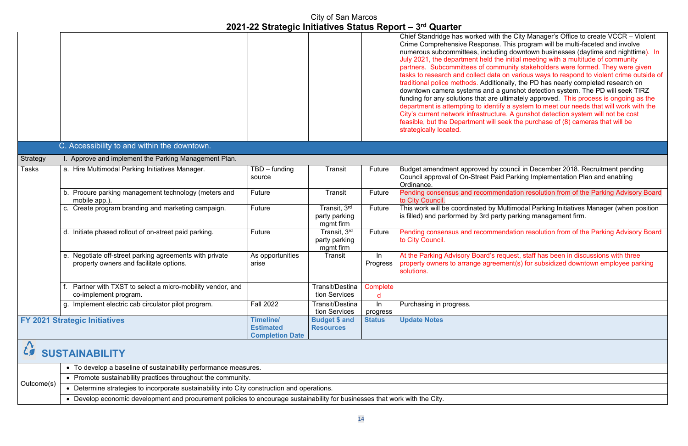the City Manager's Office to create VCCR – Violent This program will be multi-faceted and involve g downtown businesses (daytime and nighttime). In initial meeting with a multitude of community unity stakeholders were formed. They were given on various ways to respond to violent crime outside of ally, the PD has nearly completed research on qunshot detection system. The PD will seek TIRZ Itimately approved. This process is ongoing as the  $\alpha$  a system to meet our needs that will work with the e. A gunshot detection system will not be cost  $e$ ek the purchase of (8) cameras that will be

ouncil in December 2018. Recruitment pending Parking Implementation Plan and enabling

ndation resolution from of the Parking Advisory Board

ultimodal Parking Initiatives Manager (when position parking management firm.

Interation Future Pending Advisory Board relation resolution from of the Parking Advisory Board

auest, staff has been in discussions with three ent(s) for subsidized downtown employee parking

|          |                                                                                                    |                                                                |                                            |                | Chief Standridge has worked with tl<br>Crime Comprehensive Response. 7<br>numerous subcommittees, including<br>July 2021, the department held the<br>partners. Subcommittees of commi<br>tasks to research and collect data o<br>traditional police methods. Addition<br>downtown camera systems and a g<br>funding for any solutions that are ul<br>department is attempting to identify<br>City's current network infrastructure<br>feasible, but the Department will se<br>strategically located. |
|----------|----------------------------------------------------------------------------------------------------|----------------------------------------------------------------|--------------------------------------------|----------------|------------------------------------------------------------------------------------------------------------------------------------------------------------------------------------------------------------------------------------------------------------------------------------------------------------------------------------------------------------------------------------------------------------------------------------------------------------------------------------------------------|
|          | C. Accessibility to and within the downtown.                                                       |                                                                |                                            |                |                                                                                                                                                                                                                                                                                                                                                                                                                                                                                                      |
| Strategy | I. Approve and implement the Parking Management Plan.                                              |                                                                |                                            |                |                                                                                                                                                                                                                                                                                                                                                                                                                                                                                                      |
| Tasks    | a. Hire Multimodal Parking Initiatives Manager.                                                    | $TBD$ – funding<br>source                                      | Transit                                    | Future         | Budget amendment approved by co<br>Council approval of On-Street Paid<br>Ordinance.                                                                                                                                                                                                                                                                                                                                                                                                                  |
|          | b. Procure parking management technology (meters and<br>mobile app.).                              | Future                                                         | Transit                                    | Future         | Pending consensus and recommen<br>to City Council.                                                                                                                                                                                                                                                                                                                                                                                                                                                   |
|          | c. Create program branding and marketing campaign.                                                 | Future                                                         | Transit, 3rd<br>party parking<br>mgmt firm | Future         | This work will be coordinated by Mu<br>is filled) and performed by 3rd party                                                                                                                                                                                                                                                                                                                                                                                                                         |
|          | d. Initiate phased rollout of on-street paid parking.                                              | Future                                                         | Transit, 3rd<br>party parking<br>mgmt firm | Future         | Pending consensus and recommen<br>to City Council.                                                                                                                                                                                                                                                                                                                                                                                                                                                   |
|          | e. Negotiate off-street parking agreements with private<br>property owners and facilitate options. | As opportunities<br>arise                                      | Transit                                    | In<br>Progress | At the Parking Advisory Board's rec<br>property owners to arrange agreem<br>solutions.                                                                                                                                                                                                                                                                                                                                                                                                               |
|          | Partner with TXST to select a micro-mobility vendor, and<br>co-implement program.                  |                                                                | <b>Transit/Destina</b><br>tion Services    | Complete<br>d  |                                                                                                                                                                                                                                                                                                                                                                                                                                                                                                      |
|          | Implement electric cab circulator pilot program.<br>g.                                             | <b>Fall 2022</b>                                               | Transit/Destina<br>tion Services           | In<br>progress | Purchasing in progress.                                                                                                                                                                                                                                                                                                                                                                                                                                                                              |
|          | <b>FY 2021 Strategic Initiatives</b>                                                               | <b>Timeline/</b><br><b>Estimated</b><br><b>Completion Date</b> | <b>Budget \$ and</b><br><b>Resources</b>   | <b>Status</b>  | <b>Update Notes</b>                                                                                                                                                                                                                                                                                                                                                                                                                                                                                  |
|          | <b>SUSTAINABILITY</b>                                                                              |                                                                |                                            |                |                                                                                                                                                                                                                                                                                                                                                                                                                                                                                                      |
|          | • To develop a baseline of sustainability performance measures.                                    |                                                                |                                            |                |                                                                                                                                                                                                                                                                                                                                                                                                                                                                                                      |
|          | • Promote sustainability practices throughout the community.                                       |                                                                |                                            |                |                                                                                                                                                                                                                                                                                                                                                                                                                                                                                                      |

| Outcome(s) |                                                                                               |  |  |  |
|------------|-----------------------------------------------------------------------------------------------|--|--|--|
|            |                                                                                               |  |  |  |
|            | ↑ • Determine strategies to incorporate sustainability into City construction and operations. |  |  |  |
|            |                                                                                               |  |  |  |

• Develop economic development and procurement policies to encourage sustainability for businesses that work with the City.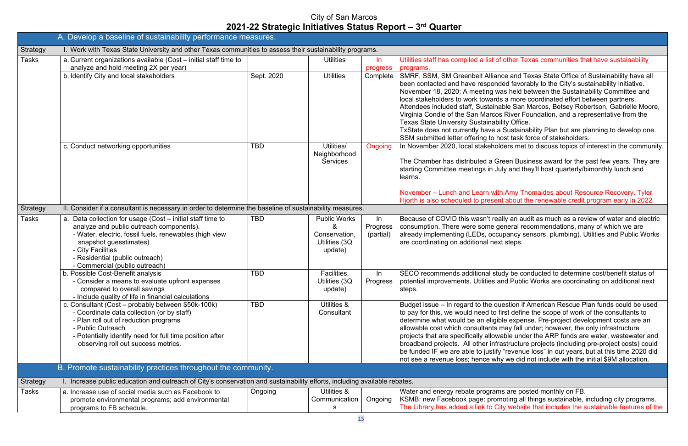#### other Texas communities that have sustainability

b. Identify and Texas State Office of Sustainability have all ed favorably to the City's sustainability initiative. s held between the Sustainability Committee and a more coordinated effort between partners.

ble San Marcos, Betsey Robertson, Gabrielle Moore, River Foundation, and a representative from the ty Office.

Sustainability Plan but are planning to develop one. st task force of stakeholders.

ers met to discuss topics of interest in the community.

een Business award for the past few years. They are y and they'll host quarterly/bimonthly lunch and

#### Amy Thomaides about Resource Recovery. Tyler about the renewable credit program early in 2022.

ly an audit as much as a review of water and electric neral recommendations, many of which we are pancy sensors, plumbing). Utilities and Public Works steps.

dy be conducted to determine cost/benefit status of d Public Works are coordinating on additional next

estion if American Rescue Plan funds could be used st define the scope of work of the consultants to e expense. Pre-project development costs are an ay fall under; however, the only infrastructure ble under the ARP funds are water, wastewater and structure projects (including pre-project costs) could frevenue loss" in out years, but at this time 2020 did we did not include with the initial \$9M allocation.

are posted monthly on FB. oting all things sustainable, including city programs. y website that includes the sustainable features of the

|                 | A. Develop a baseline of sustainability performance measures.                                                                                                                                                                                                                        |            |                                                                       |                             |                                                                                                                                                                                                                                                                                                                                                         |
|-----------------|--------------------------------------------------------------------------------------------------------------------------------------------------------------------------------------------------------------------------------------------------------------------------------------|------------|-----------------------------------------------------------------------|-----------------------------|---------------------------------------------------------------------------------------------------------------------------------------------------------------------------------------------------------------------------------------------------------------------------------------------------------------------------------------------------------|
| <b>Strategy</b> | I. Work with Texas State University and other Texas communities to assess their sustainability programs.                                                                                                                                                                             |            |                                                                       |                             |                                                                                                                                                                                                                                                                                                                                                         |
| <b>Tasks</b>    | a. Current organizations available (Cost - initial staff time to<br>analyze and hold meeting 2X per year)                                                                                                                                                                            |            | <b>Utilities</b>                                                      | $\ln$<br>progress           | Utilities staff has compiled a list of o<br>programs.                                                                                                                                                                                                                                                                                                   |
|                 | b. Identify City and local stakeholders                                                                                                                                                                                                                                              | Sept. 2020 | <b>Utilities</b>                                                      | Complete                    | SMRF, SSM, SM Greenbelt Allianc<br>been contacted and have responde<br>November 18, 2020: A meeting was<br>local stakeholders to work towards<br>Attendees included staff, Sustainab<br>Virginia Condie of the San Marcos<br><b>Texas State University Sustainabilit</b><br>TxState does not currently have a \$<br>SSM submitted letter offering to ho |
|                 | c. Conduct networking opportunities                                                                                                                                                                                                                                                  | <b>TBD</b> | Utilities/<br>Neighborhood<br><b>Services</b>                         | Ongoing                     | In November 2020, local stakehold<br>The Chamber has distributed a Gre<br>starting Committee meetings in July<br>learns.<br>November - Lunch and Learn with<br>Hjorth is also scheduled to present                                                                                                                                                      |
| Strategy        | II. Consider if a consultant is necessary in order to determine the baseline of sustainability measures.                                                                                                                                                                             |            |                                                                       |                             |                                                                                                                                                                                                                                                                                                                                                         |
| Tasks           | a. Data collection for usage (Cost - initial staff time to<br>analyze and public outreach components).<br>- Water, electric, fossil fuels, renewables (high view<br>snapshot guesstimates)<br>- City Facilities<br>- Residential (public outreach)<br>- Commercial (public outreach) | <b>TBD</b> | <b>Public Works</b><br>&<br>Conservation,<br>Utilities (3Q<br>update) | In<br>Progress<br>(partial) | Because of COVID this wasn't reall<br>consumption. There were some get<br>already implementing (LEDs, occup<br>are coordinating on additional next                                                                                                                                                                                                      |
|                 | b. Possible Cost-Benefit analysis<br>- Consider a means to evaluate upfront expenses<br>compared to overall savings<br>- Include quality of life in financial calculations                                                                                                           | <b>TBD</b> | Facilities,<br>Utilities (3Q<br>update)                               | $\ln$<br>Progress           | SECO recommends additional stud<br>potential improvements. Utilities an<br>steps.                                                                                                                                                                                                                                                                       |
|                 | c. Consultant (Cost - probably between \$50k-100k)<br>- Coordinate data collection (or by staff)<br>- Plan roll out of reduction programs<br>- Public Outreach<br>- Potentially identify need for full time position after<br>observing roll out success metrics.                    | <b>TBD</b> | Utilities &<br>Consultant                                             |                             | Budget issue - In regard to the que<br>to pay for this, we would need to fir<br>determine what would be an eligible<br>allowable cost which consultants m<br>projects that are specifically allowal<br>broadband projects. All other infras<br>be funded IF we are able to justify "<br>not see a revenue loss; hence why                               |
|                 | B. Promote sustainability practices throughout the community.                                                                                                                                                                                                                        |            |                                                                       |                             |                                                                                                                                                                                                                                                                                                                                                         |
| <b>Strategy</b> | I. Increase public education and outreach of City's conservation and sustainability efforts, including available rebates.                                                                                                                                                            |            |                                                                       |                             |                                                                                                                                                                                                                                                                                                                                                         |
| Tasks           | a. Increase use of social media such as Facebook to<br>promote environmental programs; add environmental<br>programs to FB schedule.                                                                                                                                                 | Ongoing    | Utilities &<br>Communication<br>S                                     | Ongoing                     | Water and energy rebate programs<br>KSMB: new Facebook page: promo<br>The Library has added a link to City                                                                                                                                                                                                                                              |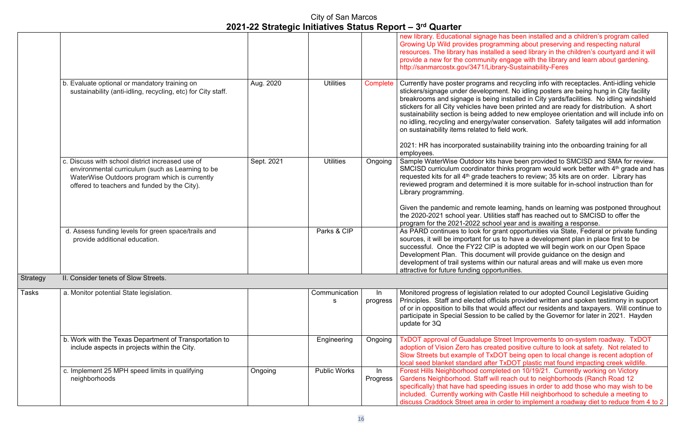as been installed and a children's program called ming about preserving and respecting natural a seed library in the children's courtyard and it will ngage with the library and learn about gardening. y-Sustainability-Feres

d recycling info with receptacles. Anti-idling vehicle nt. No idling posters are being hung in City facility nstalled in City yards/facilities. No idling windshield een printed and are ready for distribution. A short d to new employee orientation and will include info on er conservation. Safety tailgates will add information. ld work.

ability training into the onboarding training for all

Ive been provided to SMCISD and SMA for review. nks program would work better with  $4^{\text{th}}$  grade and has hers to review; 35 kits are on order. Library has it is more suitable for in-school instruction than for

arning, hands on learning was postponed throughout  $\epsilon$  staff has reached out to SMCISD to offer the year and is awaiting a response.

nt opportunities via State, Federal or private funding o have a development plan in place first to be adopted we will begin work on our Open Space will provide guidance on the design and our natural areas and will make us even more ınities.

elated to our adopted Council Legislative Guiding als provided written and spoken testimony in support d affect our residents and taxpayers. Will continue to called by the Governor for later in 2021. Hayden

eet Improvements to on-system roadway. TxDOT d positive culture to look at safety. Not related to  $\overline{T}$  being open to local change is recent adoption of xDOT plastic mat found impacting creek wildlife. ed on 10/19/21. Currently working on Victory each out to neighborhoods (Ranch Road 12 g issues in order to add those who may wish to be astle Hill neighborhood to schedule a meeting to der to implement a roadway diet to reduce from 4 to 2

|          |                                                                                                                                                                                                       |            |                     |                 | new library. Educational signage ha<br><b>Growing Up Wild provides program</b><br>resources. The library has installed<br>provide a new for the community er<br>http://sanmarcostx.gov/3471/Librar                                                                                                                    |
|----------|-------------------------------------------------------------------------------------------------------------------------------------------------------------------------------------------------------|------------|---------------------|-----------------|-----------------------------------------------------------------------------------------------------------------------------------------------------------------------------------------------------------------------------------------------------------------------------------------------------------------------|
|          | b. Evaluate optional or mandatory training on<br>sustainability (anti-idling, recycling, etc) for City staff.                                                                                         | Aug. 2020  | <b>Utilities</b>    | Complete        | Currently have poster programs an<br>stickers/signage under developmer<br>breakrooms and signage is being in<br>stickers for all City vehicles have be<br>sustainability section is being adde<br>no idling, recycling and energy/wate<br>on sustainability items related to fie<br>2021: HR has incorporated sustain |
|          | c. Discuss with school district increased use of<br>environmental curriculum (such as Learning to be<br>WaterWise Outdoors program which is currently<br>offered to teachers and funded by the City). | Sept. 2021 | <b>Utilities</b>    | Ongoing         | employees.<br>Sample WaterWise Outdoor kits ha<br>SMCISD curriculum coordinator thi<br>requested kits for all 4 <sup>th</sup> grade teacl<br>reviewed program and determined<br>Library programming.                                                                                                                  |
|          |                                                                                                                                                                                                       |            |                     |                 | Given the pandemic and remote lea<br>the 2020-2021 school year. Utilities<br>program for the 2021-2022 school                                                                                                                                                                                                         |
|          | d. Assess funding levels for green space/trails and<br>provide additional education.                                                                                                                  |            | Parks & CIP         |                 | As PARD continues to look for grar<br>sources, it will be important for us t<br>successful. Once the FY22 CIP is<br>Development Plan. This document<br>development of trail systems within<br>attractive for future funding opportu                                                                                   |
| Strategy | II. Consider tenets of Slow Streets.                                                                                                                                                                  |            |                     |                 |                                                                                                                                                                                                                                                                                                                       |
| Tasks    | a. Monitor potential State legislation.                                                                                                                                                               |            | Communication<br>s  | In.<br>progress | Monitored progress of legislation re<br>Principles. Staff and elected officia<br>of or in opposition to bills that would<br>participate in Special Session to be<br>update for 3Q                                                                                                                                     |
|          | b. Work with the Texas Department of Transportation to<br>include aspects in projects within the City.                                                                                                |            | Engineering         | Ongoing         | <b>TxDOT approval of Guadalupe Stre</b><br>adoption of Vision Zero has created<br>Slow Streets but example of TxDO<br>local seed blanket standard after T                                                                                                                                                             |
|          | c. Implement 25 MPH speed limits in qualifying<br>neighborhoods                                                                                                                                       | Ongoing    | <b>Public Works</b> | In<br>Progress  | Forest Hills Neighborhood complete<br>Gardens Neighborhood. Staff will re<br>specifically) that have had speeding<br>included. Currently working with C<br>discuss Craddock Street area in or                                                                                                                         |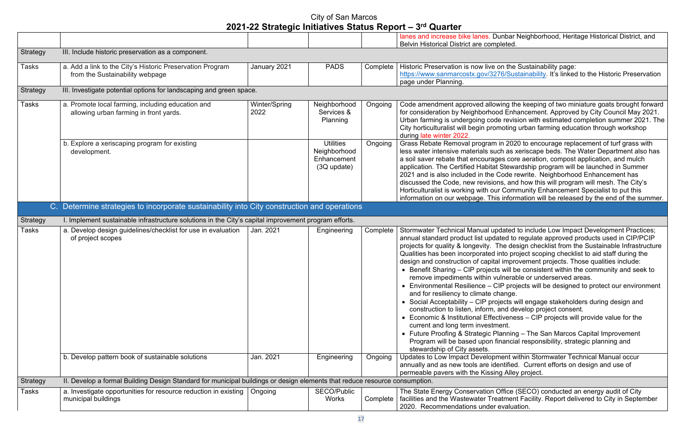lanes Neighborhood, Heritage Historical District, and

Inde Sustainability page: /Sustainability. It's linked to the Historic Preservation

ng the keeping of two miniature goats brought forward Enhancement. Approved by City Council May 2021. revision with estimated completion summer 2021. The oting urban farming education through workshop

2020 to encourage replacement of turf grass with as xeriscape beds. The Water Department also has a core aeration, compost application, and mulch tewardship program will be launched in Summer de rewrite. Neighborhood Enhancement has , and how this will program will mesh. The City's Community Enhancement Specialist to put this nformation will be released by the end of the summer.

ated to include Low Impact Development Practices; ed to regulate approved products used in CIP/PCIP e design checklist from the Sustainable Infrastructure to project scoping checklist to aid staff during the improvement projects. Those qualities include: will be consistent within the community and seek to

refable or underserved areas.

projects will be designed to protect our environment nge.

cts will engage stakeholders during design and d develop project consent.

 $\nu$ eness – CIP projects will provide value for the

hetal of The San Marcos Capital Improvement ancial responsibility, strategic planning and

ent within Stormwater Technical Manual occur tified. Current efforts on design and use of Alley project.

fice (SECO) conducted an energy audit of City ment Facility. Report delivered to City in September aluation.

|                 |                                                                                                                            |               |                    |          | lanes and increase bike lanes. Dunbar                                             |
|-----------------|----------------------------------------------------------------------------------------------------------------------------|---------------|--------------------|----------|-----------------------------------------------------------------------------------|
| <b>Strategy</b> | III. Include historic preservation as a component.                                                                         |               |                    |          | Belvin Historical District are completed.                                         |
|                 |                                                                                                                            |               |                    |          |                                                                                   |
| Tasks           | a. Add a link to the City's Historic Preservation Program                                                                  | January 2021  | <b>PADS</b>        | Complete | Historic Preservation is now live on the                                          |
|                 | from the Sustainability webpage                                                                                            |               |                    |          | https://www.sanmarcostx.gov/3276/Sus                                              |
|                 | III. Investigate potential options for landscaping and green space.                                                        |               |                    |          | page under Planning.                                                              |
| <b>Strategy</b> |                                                                                                                            |               |                    |          |                                                                                   |
| Tasks           | a. Promote local farming, including education and                                                                          | Winter/Spring | Neighborhood       | Ongoing  | Code amendment approved allowing th                                               |
|                 | allowing urban farming in front yards.                                                                                     | 2022          | Services &         |          | for consideration by Neighborhood Enh                                             |
|                 |                                                                                                                            |               | <b>Planning</b>    |          | Urban farming is undergoing code revis                                            |
|                 |                                                                                                                            |               |                    |          | City horticulturalist will begin promoting<br>during late winter 2022.            |
|                 | b. Explore a xeriscaping program for existing                                                                              |               | <b>Utilities</b>   | Ongoing  | Grass Rebate Removal program in 202                                               |
|                 | development.                                                                                                               |               | Neighborhood       |          | less water intensive materials such as x                                          |
|                 |                                                                                                                            |               | Enhancement        |          | a soil saver rebate that encourages cor                                           |
|                 |                                                                                                                            |               | $(3Q$ update)      |          | application. The Certified Habitat Stewa                                          |
|                 |                                                                                                                            |               |                    |          | 2021 and is also included in the Code r<br>discussed the Code, new revisions, and |
|                 |                                                                                                                            |               |                    |          | Horticulturalist is working with our Com                                          |
|                 |                                                                                                                            |               |                    |          | information on our webpage. This inforr                                           |
|                 | C. Determine strategies to incorporate sustainability into City construction and operations                                |               |                    |          |                                                                                   |
|                 | I. Implement sustainable infrastructure solutions in the City's capital improvement program efforts.                       |               |                    |          |                                                                                   |
| <b>Strategy</b> |                                                                                                                            | Jan. 2021     |                    |          |                                                                                   |
| Tasks           | a. Develop design guidelines/checklist for use in evaluation<br>of project scopes                                          |               | Engineering        | Complete | Stormwater Technical Manual updated<br>annual standard product list updated to    |
|                 |                                                                                                                            |               |                    |          | projects for quality & longevity. The de                                          |
|                 |                                                                                                                            |               |                    |          | Qualities has been incorporated into pre                                          |
|                 |                                                                                                                            |               |                    |          | design and construction of capital impro                                          |
|                 |                                                                                                                            |               |                    |          | • Benefit Sharing - CIP projects will b                                           |
|                 |                                                                                                                            |               |                    |          | remove impediments within vulneral                                                |
|                 |                                                                                                                            |               |                    |          | • Environmental Resilience $-$ CIP pro                                            |
|                 |                                                                                                                            |               |                    |          | and for resiliency to climate change.<br>• Social Acceptability – CIP projects v  |
|                 |                                                                                                                            |               |                    |          | construction to listen, inform, and de                                            |
|                 |                                                                                                                            |               |                    |          | • Economic & Institutional Effectivene                                            |
|                 |                                                                                                                            |               |                    |          | current and long term investment.                                                 |
|                 |                                                                                                                            |               |                    |          | • Future Proofing & Strategic Planning                                            |
|                 |                                                                                                                            |               |                    |          | Program will be based upon financia                                               |
|                 |                                                                                                                            |               |                    |          | stewardship of City assets.                                                       |
|                 | b. Develop pattern book of sustainable solutions                                                                           | Jan. 2021     | Engineering        | Ongoing  | Updates to Low Impact Development w<br>annually and as new tools are identified   |
|                 |                                                                                                                            |               |                    |          | permeable pavers with the Kissing Allet                                           |
| Strategy        | II. Develop a formal Building Design Standard for municipal buildings or design elements that reduce resource consumption. |               |                    |          |                                                                                   |
| Tasks           | a. Investigate opportunities for resource reduction in existing                                                            | Ongoing       | <b>SECO/Public</b> |          | The State Energy Conservation Office                                              |
|                 | municipal buildings                                                                                                        |               | Works              | Complete | facilities and the Wastewater Treatmen                                            |
|                 |                                                                                                                            |               |                    |          | 2020. Recommendations under evalua                                                |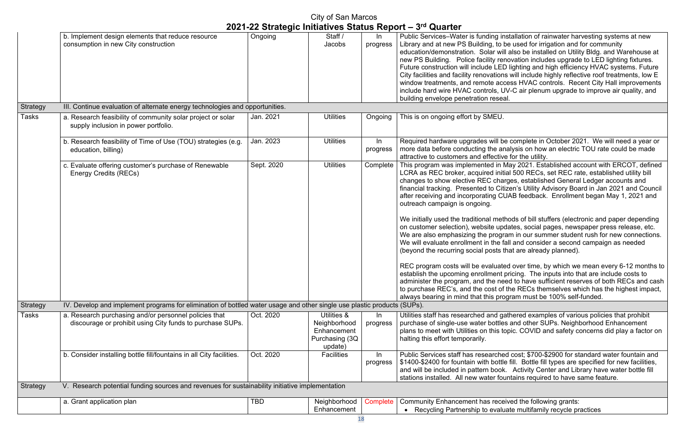nstallation of rainwater harvesting systems at new be used for irrigation and for community ill also be installed on Utility Bldg. and Warehouse at novation includes upgrade to LED lighting fixtures. D lighting and high efficiency HVAC systems. Future is will include highly reflective roof treatments, low E cess HVAC controls. Recent City Hall improvements JV-C air plenum upgrade to improve air quality, and

e complete in October 2021. We will need a year or nalysis on how an electric TOU rate could be made e for the utility.

May 2021. Established account with ERCOT, defined tial 500 RECs, set REC rate, established utility bill rges, established General Ledger accounts and fizen's Utility Advisory Board in Jan 2021 and Council UAB feedback. Enrollment began May 1, 2021 and

hods of bill stuffers (electronic and paper depending dates, social pages, newspaper press release, etc. ram in our summer student rush for new connections. fall and consider a second campaign as needed that are already planned).

ed over time, by which we mean every 6-12 months to pricing. The inputs into that are include costs to and to have sufficient reserves of both RECs and cash  $t$  the RECs themselves which has the highest impact, alware must be 100% self-funded.

athered examples of various policies that prohibit es and other SUPs. Neighborhood Enhancement opic. COVID and safety concerns did play a factor on

ed cost; \$700-\$2900 for standard water fountain and e fill. Bottle fill types are specified for new facilities,  $\alpha$ . Activity Center and Library have water bottle fill untains required to have same feature.

eived the following grants: ate multifamily recycle practices

|                 |                                                                                                                         |            | City of San Marcos                                                       |                   |                                                                                                                                                                                                                                                                                                                                                                                                                                                                                                                                                                                                                                                                  |
|-----------------|-------------------------------------------------------------------------------------------------------------------------|------------|--------------------------------------------------------------------------|-------------------|------------------------------------------------------------------------------------------------------------------------------------------------------------------------------------------------------------------------------------------------------------------------------------------------------------------------------------------------------------------------------------------------------------------------------------------------------------------------------------------------------------------------------------------------------------------------------------------------------------------------------------------------------------------|
|                 |                                                                                                                         |            |                                                                          |                   | 2021-22 Strategic Initiatives Status Report - 3rd Quarter                                                                                                                                                                                                                                                                                                                                                                                                                                                                                                                                                                                                        |
|                 | b. Implement design elements that reduce resource<br>consumption in new City construction                               | Ongoing    | Staff /<br>Jacobs                                                        | In<br>progress    | Public Services-Water is funding insta<br>Library and at new PS Building, to be<br>education/demonstration. Solar will a<br>new PS Building. Police facility renot<br>Future construction will include LED li<br>City facilities and facility renovations v<br>window treatments, and remote acces<br>include hard wire HVAC controls, UV-<br>building envelope penetration reseal.                                                                                                                                                                                                                                                                              |
| <b>Strategy</b> | III. Continue evaluation of alternate energy technologies and opportunities.                                            |            |                                                                          |                   |                                                                                                                                                                                                                                                                                                                                                                                                                                                                                                                                                                                                                                                                  |
| Tasks           | a. Research feasibility of community solar project or solar<br>supply inclusion in power portfolio.                     | Jan. 2021  | <b>Utilities</b>                                                         | Ongoing           | This is on ongoing effort by SMEU.                                                                                                                                                                                                                                                                                                                                                                                                                                                                                                                                                                                                                               |
|                 | b. Research feasibility of Time of Use (TOU) strategies (e.g.<br>education, billing)                                    | Jan. 2023  | <b>Utilities</b>                                                         | In<br>progress    | Required hardware upgrades will be o<br>more data before conducting the anal<br>attractive to customers and effective f                                                                                                                                                                                                                                                                                                                                                                                                                                                                                                                                          |
|                 | c. Evaluate offering customer's purchase of Renewable<br><b>Energy Credits (RECs)</b>                                   | Sept. 2020 | <b>Utilities</b>                                                         | Complete          | This program was implemented in Ma<br>LCRA as REC broker, acquired initial<br>changes to show elective REC charge<br>financial tracking. Presented to Citize<br>after receiving and incorporating CUA<br>outreach campaign is ongoing.<br>We initially used the traditional metho<br>on customer selection), website upda<br>We are also emphasizing the progran<br>We will evaluate enrollment in the fall<br>(beyond the recurring social posts tha<br>REC program costs will be evaluated<br>establish the upcoming enrollment pri<br>administer the program, and the need<br>to purchase REC's, and the cost of th<br>always bearing in mind that this progr |
| Strategy        | IV. Develop and implement programs for elimination of bottled water usage and other single use plastic products (SUPs). |            |                                                                          |                   |                                                                                                                                                                                                                                                                                                                                                                                                                                                                                                                                                                                                                                                                  |
| Tasks           | a. Research purchasing and/or personnel policies that<br>discourage or prohibit using City funds to purchase SUPs.      | Oct. 2020  | Utilities &<br>Neighborhood<br>Enhancement<br>Purchasing (3Q)<br>update) | $\ln$<br>progress | Utilities staff has researched and gath<br>purchase of single-use water bottles a<br>plans to meet with Utilities on this topi<br>halting this effort temporarily.                                                                                                                                                                                                                                                                                                                                                                                                                                                                                               |
|                 | b. Consider installing bottle fill/fountains in all City facilities.                                                    | Oct. 2020  | <b>Facilities</b>                                                        | In<br>progress    | Public Services staff has researched<br>\$1400-\$2400 for fountain with bottle f<br>and will be included in pattern book.<br>stations installed. All new water fount                                                                                                                                                                                                                                                                                                                                                                                                                                                                                             |
| <b>Strategy</b> | V. Research potential funding sources and revenues for sustainability initiative implementation                         |            |                                                                          |                   |                                                                                                                                                                                                                                                                                                                                                                                                                                                                                                                                                                                                                                                                  |
|                 | a. Grant application plan                                                                                               | <b>TBD</b> | Neighborhood<br>Enhancement                                              | Complete          | <b>Community Enhancement has receive</b><br>Recycling Partnership to evaluat                                                                                                                                                                                                                                                                                                                                                                                                                                                                                                                                                                                     |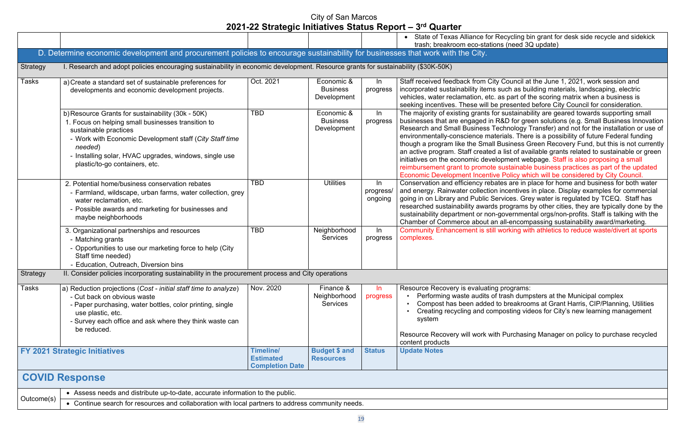#### cycling bin grant for desk side recycle and sidekick  $(need \, 3Q \, update)$

Souncil at the June 1, 2021, work session and ich as building materials, landscaping, electric part of the scoring matrix when a business is resented before City Council for consideration. sustainability are geared towards supporting small  $b$  D for green solutions (e.g. Small Business Innovation anology Transfer) and not for the installation or use of als. There is a possibility of future Federal funding isiness Green Recovery Fund, but this is not currently list of available grants related to sustainable or green ment webpage. Staff is also proposing a small  $s$  istainable business practices as part of the updated Policy which will be considered by City Council. s are in place for home and business for both water centives in place. Display examples for commercial ices. Grey water is regulated by TCEQ. Staff has rograms by other cities, they are typically done by the wernmental orgs/non-profits. Staff is talking with the I-encompassing sustainability award/marketing. rking with athletics to reduce waste/divert at sports

rograms: ash dumpsters at the Municipal complex breakrooms at Grant Harris, CIP/Planning, Utilities esting videos for City's new learning management

Purchasing Manager on policy to purchase recycled

|                 |                                                                                                                                                                                                                                                                                                    |                                                         |                                              |                            | State of Texas Alliance for Reo<br>trash; breakroom eco-stations                                                                                                                                                                                                                                                                                                    |
|-----------------|----------------------------------------------------------------------------------------------------------------------------------------------------------------------------------------------------------------------------------------------------------------------------------------------------|---------------------------------------------------------|----------------------------------------------|----------------------------|---------------------------------------------------------------------------------------------------------------------------------------------------------------------------------------------------------------------------------------------------------------------------------------------------------------------------------------------------------------------|
|                 | D. Determine economic development and procurement policies to encourage sustainability for businesses that work with the City.                                                                                                                                                                     |                                                         |                                              |                            |                                                                                                                                                                                                                                                                                                                                                                     |
| <b>Strategy</b> | I. Research and adopt policies encouraging sustainability in economic development. Resource grants for sustainability (\$30K-50K)                                                                                                                                                                  |                                                         |                                              |                            |                                                                                                                                                                                                                                                                                                                                                                     |
| <b>Tasks</b>    | a) Create a standard set of sustainable preferences for<br>developments and economic development projects.                                                                                                                                                                                         | Oct. 2021                                               | Economic &<br><b>Business</b><br>Development | In<br>progress             | Staff received feedback from City C<br>incorporated sustainability items su<br>vehicles, water reclamation, etc. as<br>seeking incentives. These will be pr                                                                                                                                                                                                         |
|                 | b) Resource Grants for sustainability (30k - 50K)<br>1. Focus on helping small businesses transition to<br>sustainable practices<br>- Work with Economic Development staff (City Staff time<br>needed)<br>- Installing solar, HVAC upgrades, windows, single use<br>plastic/to-go containers, etc. | <b>TBD</b>                                              | Economic &<br><b>Business</b><br>Development | In<br>progress             | The majority of existing grants for so<br>businesses that are engaged in R&<br><b>Research and Small Business Tech</b><br>environmentally-conscience materia<br>though a program like the Small Bu<br>an active program. Staff created a li<br>initiatives on the economic developi<br>reimbursement grant to promote su<br><b>Economic Development Incentive P</b> |
|                 | 2. Potential home/business conservation rebates<br>- Farmland, wildscape, urban farms, water collection, grey<br>water reclamation, etc.<br>- Possible awards and marketing for businesses and<br>maybe neighborhoods                                                                              | TBD                                                     | <b>Utilities</b>                             | In<br>progress/<br>ongoing | Conservation and efficiency rebates<br>and energy. Rainwater collection in<br>going in on Library and Public Servi<br>researched sustainability awards pr<br>sustainability department or non-go<br>Chamber of Commerce about an al                                                                                                                                 |
|                 | 3. Organizational partnerships and resources<br>- Matching grants<br>- Opportunities to use our marketing force to help (City<br>Staff time needed)<br>- Education, Outreach, Diversion bins                                                                                                       | TBD                                                     | Neighborhood<br><b>Services</b>              | $\ln$<br>progress          | <b>Community Enhancement is still wo</b><br>complexes.                                                                                                                                                                                                                                                                                                              |
| Strategy        | II. Consider policies incorporating sustainability in the procurement process and City operations                                                                                                                                                                                                  |                                                         |                                              |                            |                                                                                                                                                                                                                                                                                                                                                                     |
| <b>Tasks</b>    | a) Reduction projections (Cost - initial staff time to analyze)<br>- Cut back on obvious waste<br>- Paper purchasing, water bottles, color printing, single<br>use plastic, etc.<br>- Survey each office and ask where they think waste can<br>be reduced.                                         | Nov. 2020                                               | Finance &<br>Neighborhood<br><b>Services</b> | $\ln$<br>progress          | Resource Recovery is evaluating pr<br>Performing waste audits of tra<br>Compost has been added to b<br>Creating recycling and compo<br>system                                                                                                                                                                                                                       |
|                 |                                                                                                                                                                                                                                                                                                    |                                                         |                                              |                            | Resource Recovery will work with P<br>content products                                                                                                                                                                                                                                                                                                              |
|                 | <b>FY 2021 Strategic Initiatives</b>                                                                                                                                                                                                                                                               | Timeline/<br><b>Estimated</b><br><b>Completion Date</b> | <b>Budget \$ and</b><br><b>Resources</b>     | <b>Status</b>              | <b>Update Notes</b>                                                                                                                                                                                                                                                                                                                                                 |
|                 | <b>COVID Response</b>                                                                                                                                                                                                                                                                              |                                                         |                                              |                            |                                                                                                                                                                                                                                                                                                                                                                     |
|                 | • Assess needs and distribute up-to-date, accurate information to the public.                                                                                                                                                                                                                      |                                                         |                                              |                            |                                                                                                                                                                                                                                                                                                                                                                     |
| Outcome(s)      | • Continue search for resources and collaboration with local partners to address community needs.                                                                                                                                                                                                  |                                                         |                                              |                            |                                                                                                                                                                                                                                                                                                                                                                     |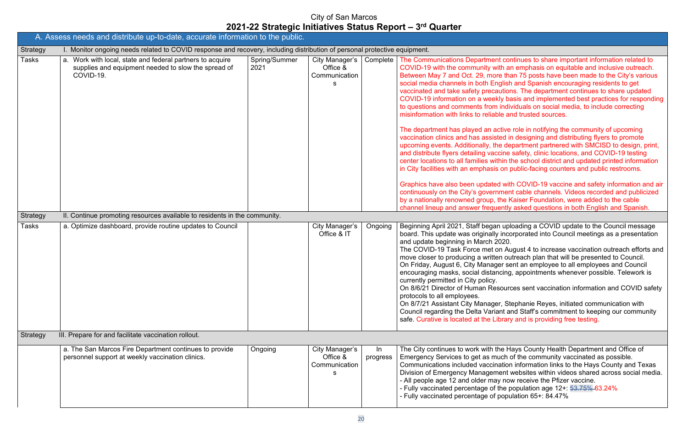continues to share important information related to an emphasis on equitable and inclusive outreach. than 75 posts have been made to the City's various ish and Spanish encouraging residents to get tions. The department continues to share updated basis and implemented best practices for responding dividuals on social media, to include correcting and trusted sources.

ve role in notifying the community of upcoming d in designing and distributing flyers to promote department partnered with SMCISD to design, print, ne safety, clinic locations, and COVID-19 testing n the school district and updated printed information n public-facing counters and public restrooms.

with COVID-19 vaccine and safety information and air ent cable channels. Videos recorded and publicized e Kaiser Foundation, were added to the cable rtly asked questions in both English and Spanish.

aploading a COVID update to the Council message ncorporated into Council meetings as a presentation

August 4 to increase vaccination outreach efforts and outreach plan that will be presented to Council. sent an employee to all employees and Council ng, appointments whenever possible. Telework is

urces sent vaccination information and COVID safety

Stephanie Reyes, initiated communication with cand Staff's commitment to keeping our community ary and is providing free testing.

Hays County Health Department and Office of h of the community vaccinated as possible. ion information links to the Hays County and Texas nt websites within videos shared across social media. how receive the Pfizer vaccine. e population age 12+: <del>53.75% 6</del>3.24%

pulation  $65+: 84.47\%$ 

|                 | A. Assess needs and distribute up-to-date, accurate information to the public.                                                |                       |                                                  |                |                                                                                                                                                                                                                                                                                                                                                                                                                                                                                                                                                                                                                                                                                                                                                                     |
|-----------------|-------------------------------------------------------------------------------------------------------------------------------|-----------------------|--------------------------------------------------|----------------|---------------------------------------------------------------------------------------------------------------------------------------------------------------------------------------------------------------------------------------------------------------------------------------------------------------------------------------------------------------------------------------------------------------------------------------------------------------------------------------------------------------------------------------------------------------------------------------------------------------------------------------------------------------------------------------------------------------------------------------------------------------------|
| <b>Strategy</b> | I. Monitor ongoing needs related to COVID response and recovery, including distribution of personal protective equipment.     |                       |                                                  |                |                                                                                                                                                                                                                                                                                                                                                                                                                                                                                                                                                                                                                                                                                                                                                                     |
| <b>Tasks</b>    | a. Work with local, state and federal partners to acquire<br>supplies and equipment needed to slow the spread of<br>COVID-19. | Spring/Summer<br>2021 | City Manager's<br>Office &<br>Communication<br>s | Complete       | The Communications Department cor<br>COVID-19 with the community with a<br>Between May 7 and Oct. 29, more that<br>social media channels in both English<br>vaccinated and take safety precaution<br>COVID-19 information on a weekly ba<br>to questions and comments from indi-<br>misinformation with links to reliable are<br>The department has played an active<br>vaccination clinics and has assisted in<br>upcoming events. Additionally, the de<br>and distribute flyers detailing vaccine<br>center locations to all families within t<br>in City facilities with an emphasis on position<br>Graphics have also been updated wit<br>continuously on the City's governmen<br>by a nationally renowned group, the h<br>channel lineup and answer frequently |
| Strategy        | II. Continue promoting resources available to residents in the community.                                                     |                       |                                                  |                |                                                                                                                                                                                                                                                                                                                                                                                                                                                                                                                                                                                                                                                                                                                                                                     |
| <b>Tasks</b>    | a. Optimize dashboard, provide routine updates to Council                                                                     |                       | City Manager's<br>Office & IT                    | Ongoing        | Beginning April 2021, Staff began upl<br>board. This update was originally inco<br>and update beginning in March 2020.<br>The COVID-19 Task Force met on Au<br>move closer to producing a written ou<br>On Friday, August 6, City Manager se<br>encouraging masks, social distancing<br>currently permitted in City policy.<br>On 8/6/21 Director of Human Resourd<br>protocols to all employees.<br>On 8/7/21 Assistant City Manager, St<br>Council regarding the Delta Variant a<br>safe. Curative is located at the Library                                                                                                                                                                                                                                      |
| Strategy        | III. Prepare for and facilitate vaccination rollout.                                                                          |                       |                                                  |                |                                                                                                                                                                                                                                                                                                                                                                                                                                                                                                                                                                                                                                                                                                                                                                     |
|                 | a. The San Marcos Fire Department continues to provide<br>personnel support at weekly vaccination clinics.                    | Ongoing               | City Manager's<br>Office &<br>Communication<br>s | In<br>progress | The City continues to work with the H<br>Emergency Services to get as much of<br>Communications included vaccination<br>Division of Emergency Management<br>- All people age 12 and older may not<br>- Fully vaccinated percentage of the p<br>- Fully vaccinated percentage of popu                                                                                                                                                                                                                                                                                                                                                                                                                                                                                |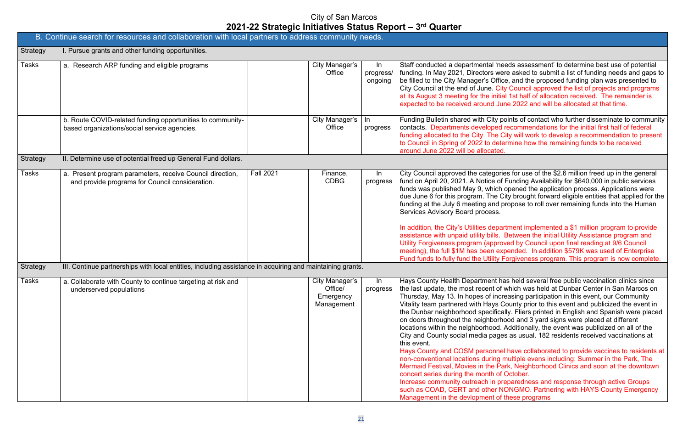eeds assessment' to determine best use of potential ere asked to submit a list of funding needs and gaps to  $be$ , and the proposed funding plan was presented to ty Council approved the list of projects and programs al 1st half of allocation received. The remainder is ane 2022 and will be allocated at that time.

boints of contact who further disseminate to community recommendations for the initial first half of federal City will work to develop a recommendation to present termine how the remaining funds to be received

ies for use of the \$2.6 million freed up in the general Funding Availability for \$640,000 in public services opened the application process. Applications were City brought forward eligible entities that applied for the propose to roll over remaining funds into the Human

In addition, the City-in the City-in the City-in-Between the initial Utility Assistance program and wed by Council upon final reading at 9/6 Council  $x$  pended. In addition  $$579K$  was used of Enterprise  $\dot{F}$ orgiveness program. This program is now complete.

as held several free public vaccination clinics since which was held at Dunbar Center in San Marcos on reasing participation in this event, our Community County prior to this event and publicized the event in ally. Fliers printed in English and Spanish were placed  $\overline{1}$ ood and  $\overline{3}$  yard signs were placed at different Additionally, the event was publicized on all of the es as usual. 182 residents received vaccinations at

el have collaborated to provide vaccines to residents at multiple evens including: Summer in the Park, The ark, Neighborhood Clinics and soon at the downtown Cortober.

Increase community community operations and response through active Groups **JONGMO. Partnering with HAYS County Emergency** these programs

|                 | B. Continue search for resources and collaboration with local partners to address community needs.           |                  |                                                      |                             |                                                                                                                                                                                                                                                                                                                                                                                                                                                                                                                                                                                                             |
|-----------------|--------------------------------------------------------------------------------------------------------------|------------------|------------------------------------------------------|-----------------------------|-------------------------------------------------------------------------------------------------------------------------------------------------------------------------------------------------------------------------------------------------------------------------------------------------------------------------------------------------------------------------------------------------------------------------------------------------------------------------------------------------------------------------------------------------------------------------------------------------------------|
| <b>Strategy</b> | I. Pursue grants and other funding opportunities.                                                            |                  |                                                      |                             |                                                                                                                                                                                                                                                                                                                                                                                                                                                                                                                                                                                                             |
| Tasks           | a. Research ARP funding and eligible programs                                                                |                  | City Manager's<br>Office                             | In.<br>progress/<br>ongoing | Staff conducted a departmental 'nee<br>funding. In May 2021, Directors were<br>be filled to the City Manager's Office<br>City Council at the end of June. City<br>at its August 3 meeting for the initial<br>expected to be received around Jun                                                                                                                                                                                                                                                                                                                                                             |
|                 | b. Route COVID-related funding opportunities to community-<br>based organizations/social service agencies.   |                  | City Manager's<br>Office                             | In<br>progress              | Funding Bulletin shared with City po<br>contacts. Departments developed re<br>funding allocated to the City. The Ci<br>to Council in Spring of 2022 to deter<br>around June 2022 will be allocated.                                                                                                                                                                                                                                                                                                                                                                                                         |
| <b>Strategy</b> | II. Determine use of potential freed up General Fund dollars.                                                |                  |                                                      |                             |                                                                                                                                                                                                                                                                                                                                                                                                                                                                                                                                                                                                             |
| Tasks           | a. Present program parameters, receive Council direction,<br>and provide programs for Council consideration. | <b>Fall 2021</b> | Finance,<br><b>CDBG</b>                              | In<br>progress              | City Council approved the categorie<br>fund on April 20, 2021. A Notice of F<br>funds was published May 9, which o<br>due June 6 for this program. The Cit<br>funding at the July 6 meeting and pr<br>Services Advisory Board process.<br>In addition, the City's Utilities depart<br>assistance with unpaid utility bills. B<br>Utility Forgiveness program (approv<br>meeting), the full \$1M has been exp<br>Fund funds to fully fund the Utility Fo                                                                                                                                                     |
| <b>Strategy</b> | III. Continue partnerships with local entities, including assistance in acquiring and maintaining grants.    |                  |                                                      |                             |                                                                                                                                                                                                                                                                                                                                                                                                                                                                                                                                                                                                             |
| Tasks           | a. Collaborate with County to continue targeting at risk and<br>underserved populations                      |                  | City Manager's<br>Office/<br>Emergency<br>Management | In.<br>progress             | Hays County Health Department has<br>the last update, the most recent of w<br>Thursday, May 13. In hopes of incre<br>Vitality team partnered with Hays Co<br>the Dunbar neighborhood specificall<br>on doors throughout the neighborho<br>locations within the neighborhood. A<br>City and County social media pages<br>this event.<br>Hays County and COSM personnel<br>non-conventional locations during m<br>Mermaid Festival, Movies in the Par<br>concert series during the month of C<br>Increase community outreach in pre<br>such as COAD, CERT and other NC<br>Management in the devlopment of the |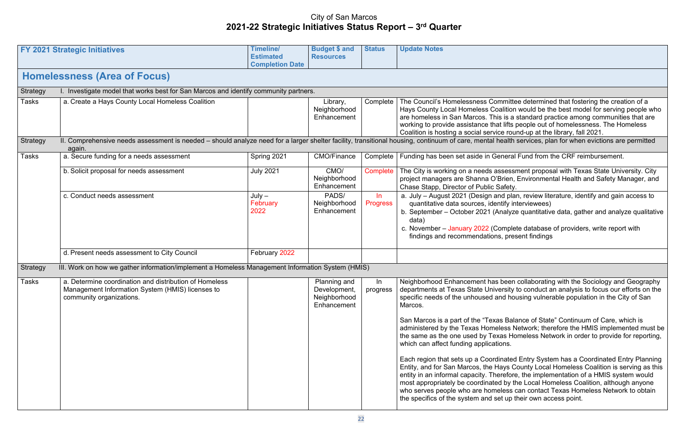mittee determined that fostering the creation of a ition would be the best model for serving people who is a standard practice among communities that are lifts people out of homelessness. The Homeless  $\epsilon$  round-up at the library, fall 2021.

alth services, plan for when evictions are permitted

eral Fund from the CRF reimbursement.

essment proposal with Texas State University. City ien, Environmental Health and Safety Manager, and fety.

I plan, review literature, identify and gain access to fy interviewees)

alyze quantitative data, gather and analyze qualitative

nplete database of providers, write report with present findings

 $\overline{\phantom{\mathcal{K}}}$ een collaborating with the Sociology and Geography sity to conduct an analysis to focus our efforts on the d housing vulnerable population in the City of San

Balance of State" Continuum of Care, which is as Network; therefore the HMIS implemented must be s Homeless Network in order to provide for reporting,

ated Entry System has a Coordinated Entry Planning ys County Local Homeless Coalition is serving as this efore, the implementation of a HMIS system would by the Local Homeless Coalition, although anyone ess can contact Texas Homeless Network to obtain up their own access point.

| <b>FY 2021 Strategic Initiatives</b>                                                                                                   | <b>Timeline/</b><br><b>Estimated</b><br><b>Completion Date</b> | <b>Budget \$ and</b><br><b>Resources</b>                    | <b>Status</b>                                                                        | <b>Update Notes</b>                                                                                                                                                                                                                                                                                                                                                                                                                                                                                                                             |
|----------------------------------------------------------------------------------------------------------------------------------------|----------------------------------------------------------------|-------------------------------------------------------------|--------------------------------------------------------------------------------------|-------------------------------------------------------------------------------------------------------------------------------------------------------------------------------------------------------------------------------------------------------------------------------------------------------------------------------------------------------------------------------------------------------------------------------------------------------------------------------------------------------------------------------------------------|
| <b>Homelessness (Area of Focus)</b>                                                                                                    |                                                                |                                                             |                                                                                      |                                                                                                                                                                                                                                                                                                                                                                                                                                                                                                                                                 |
|                                                                                                                                        |                                                                |                                                             |                                                                                      |                                                                                                                                                                                                                                                                                                                                                                                                                                                                                                                                                 |
| a. Create a Hays County Local Homeless Coalition                                                                                       |                                                                | Library,<br>Neighborhood<br>Enhancement                     | Complete                                                                             | The Council's Homelessness Commit<br><b>Hays County Local Homeless Coalitic</b><br>are homeless in San Marcos. This is<br>working to provide assistance that lifts<br>Coalition is hosting a social service ro                                                                                                                                                                                                                                                                                                                                  |
| again.                                                                                                                                 |                                                                |                                                             |                                                                                      |                                                                                                                                                                                                                                                                                                                                                                                                                                                                                                                                                 |
| a. Secure funding for a needs assessment                                                                                               | Spring 2021                                                    | <b>CMO/Finance</b>                                          | Complete                                                                             | Funding has been set aside in Genera                                                                                                                                                                                                                                                                                                                                                                                                                                                                                                            |
| b. Solicit proposal for needs assessment                                                                                               | <b>July 2021</b>                                               | CMO/<br>Neighborhood<br>Enhancement                         | Complete                                                                             | The City is working on a needs asses<br>project managers are Shanna O'Brier<br>Chase Stapp, Director of Public Safet                                                                                                                                                                                                                                                                                                                                                                                                                            |
| c. Conduct needs assessment                                                                                                            | $July -$<br>February<br>2022                                   | PADS/<br>Neighborhood<br>Enhancement                        | $\ln$<br><b>Progress</b>                                                             | a. July - August 2021 (Design and p<br>quantitative data sources, identify<br>b. September - October 2021 (Analy<br>data)<br>c. November - January 2022 (Comp<br>findings and recommendations, pr                                                                                                                                                                                                                                                                                                                                               |
| d. Present needs assessment to City Council                                                                                            | February 2022                                                  |                                                             |                                                                                      |                                                                                                                                                                                                                                                                                                                                                                                                                                                                                                                                                 |
|                                                                                                                                        |                                                                |                                                             |                                                                                      |                                                                                                                                                                                                                                                                                                                                                                                                                                                                                                                                                 |
| a. Determine coordination and distribution of Homeless<br>Management Information System (HMIS) licenses to<br>community organizations. |                                                                | Planning and<br>Development,<br>Neighborhood<br>Enhancement | $\ln$<br>progress                                                                    | Neighborhood Enhancement has bee<br>departments at Texas State Universit<br>specific needs of the unhoused and h<br>Marcos.<br>San Marcos is a part of the "Texas Ba<br>administered by the Texas Homeless<br>the same as the one used by Texas I<br>which can affect funding applications.<br>Each region that sets up a Coordinate<br>Entity, and for San Marcos, the Hays<br>entity in an informal capacity. Therefo<br>most appropriately be coordinated by<br>who serves people who are homeless<br>the specifics of the system and set up |
|                                                                                                                                        |                                                                |                                                             | I. Investigate model that works best for San Marcos and identify community partners. | II. Comprehensive needs assessment is needed - should analyze need for a larger shelter facility, transitional housing, continuum of care, mental healt<br>III. Work on how we gather information/implement a Homeless Management Information System (HMIS)                                                                                                                                                                                                                                                                                     |